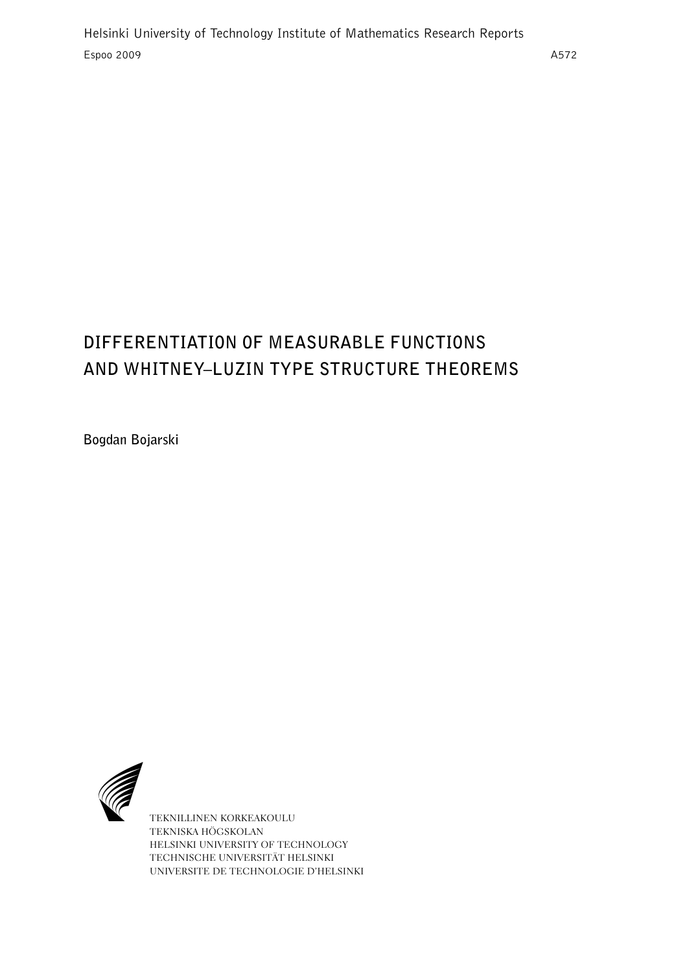# **DIFFERENTIATION OF MEASURABLE FUNCTIONS AND WHITNEY–LUZIN TYPE STRUCTURE THEOREMS**

**Bogdan Bojarski**



TEKNILLINEN KORKEAKOULU TEKNISKA HÖGSKOLAN HELSINKI UNIVERSITY OF TECHNOLOGY TECHNISCHE UNIVERSITÄT HELSINKI UNIVERSITE DE TECHNOLOGIE D'HELSINKI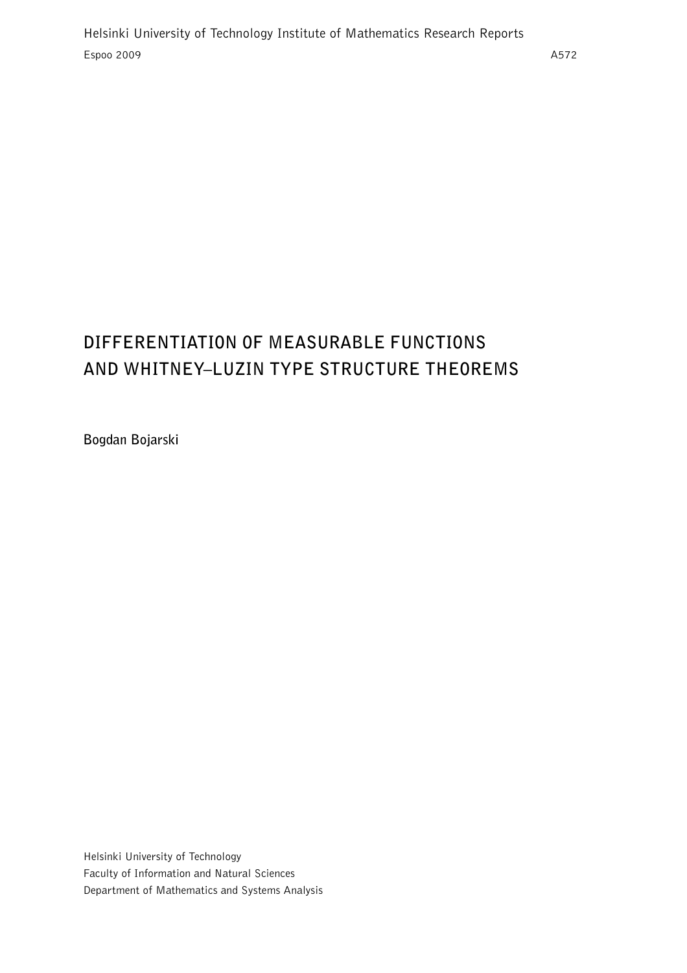# **DIFFERENTIATION OF MEASURABLE FUNCTIONS AND WHITNEY–LUZIN TYPE STRUCTURE THEOREMS**

**Bogdan Bojarski**

Helsinki University of Technology Faculty of Information and Natural Sciences Department of Mathematics and Systems Analysis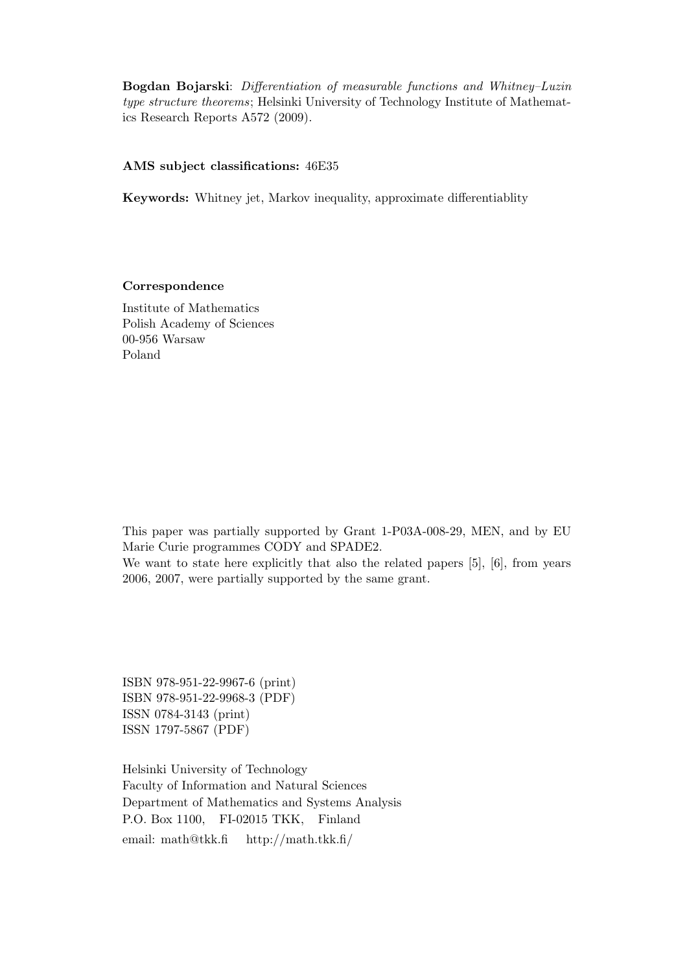Bogdan Bojarski: Differentiation of measurable functions and Whitney–Luzin type structure theorems; Helsinki University of Technology Institute of Mathematics Research Reports A572 (2009).

#### AMS subject classifications: 46E35

Keywords: Whitney jet, Markov inequality, approximate differentiablity

#### Correspondence

Institute of Mathematics Polish Academy of Sciences 00-956 Warsaw Poland

This paper was partially supported by Grant 1-P03A-008-29, MEN, and by EU Marie Curie programmes CODY and SPADE2.

We want to state here explicitly that also the related papers [5], [6], from years 2006, 2007, were partially supported by the same grant.

ISBN 978-951-22-9967-6 (print) ISBN 978-951-22-9968-3 (PDF) ISSN 0784-3143 (print) ISSN 1797-5867 (PDF)

Helsinki University of Technology Faculty of Information and Natural Sciences Department of Mathematics and Systems Analysis P.O. Box 1100, FI-02015 TKK, Finland email: math@tkk.fi http://math.tkk.fi/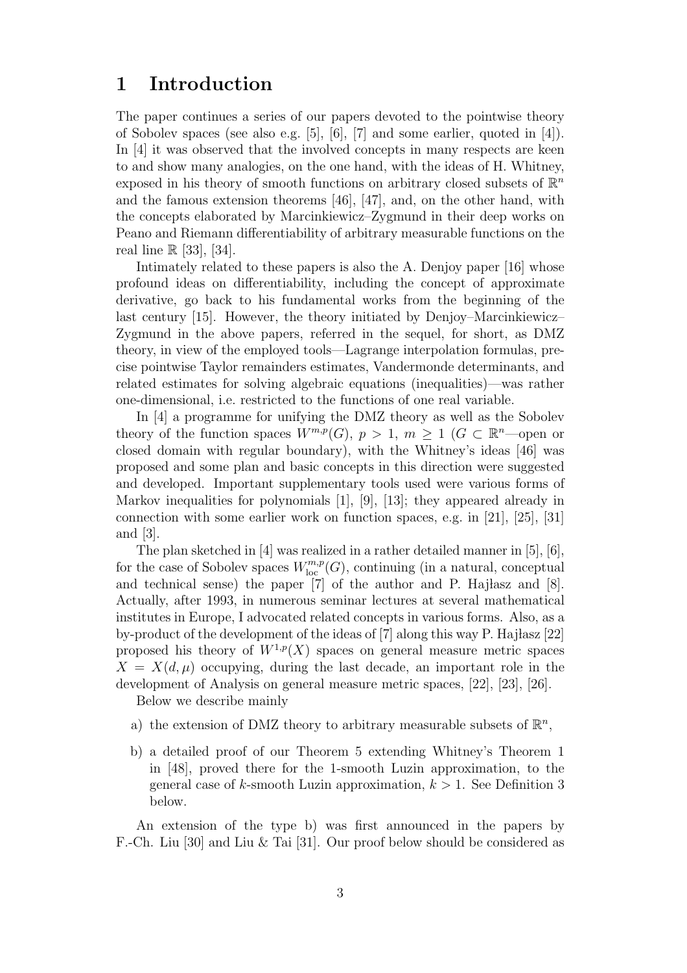### 1 Introduction

The paper continues a series of our papers devoted to the pointwise theory of Sobolev spaces (see also e.g. [5], [6], [7] and some earlier, quoted in [4]). In [4] it was observed that the involved concepts in many respects are keen to and show many analogies, on the one hand, with the ideas of H. Whitney, exposed in his theory of smooth functions on arbitrary closed subsets of  $\mathbb{R}^n$ and the famous extension theorems [46], [47], and, on the other hand, with the concepts elaborated by Marcinkiewicz–Zygmund in their deep works on Peano and Riemann differentiability of arbitrary measurable functions on the real line  $\mathbb{R}$  [33], [34].

Intimately related to these papers is also the A. Denjoy paper [16] whose profound ideas on differentiability, including the concept of approximate derivative, go back to his fundamental works from the beginning of the last century [15]. However, the theory initiated by Denjoy–Marcinkiewicz– Zygmund in the above papers, referred in the sequel, for short, as DMZ theory, in view of the employed tools—Lagrange interpolation formulas, precise pointwise Taylor remainders estimates, Vandermonde determinants, and related estimates for solving algebraic equations (inequalities)—was rather one-dimensional, i.e. restricted to the functions of one real variable.

In [4] a programme for unifying the DMZ theory as well as the Sobolev theory of the function spaces  $W^{m,p}(G)$ ,  $p > 1$ ,  $m \geq 1$  ( $G \subset \mathbb{R}^n$ -open or closed domain with regular boundary), with the Whitney's ideas [46] was proposed and some plan and basic concepts in this direction were suggested and developed. Important supplementary tools used were various forms of Markov inequalities for polynomials [1], [9], [13]; they appeared already in connection with some earlier work on function spaces, e.g. in [21], [25], [31] and [3].

The plan sketched in [4] was realized in a rather detailed manner in [5], [6], for the case of Sobolev spaces  $W^{m,p}_{\text{loc}}(G)$ , continuing (in a natural, conceptual and technical sense) the paper  $[7]$  of the author and P. Hajlasz and  $[8]$ . Actually, after 1993, in numerous seminar lectures at several mathematical institutes in Europe, I advocated related concepts in various forms. Also, as a by-product of the development of the ideas of  $[7]$  along this way P. Haj $\frac{1}{22}$ proposed his theory of  $W^{1,p}(X)$  spaces on general measure metric spaces  $X = X(d, \mu)$  occupying, during the last decade, an important role in the development of Analysis on general measure metric spaces, [22], [23], [26].

Below we describe mainly

- a) the extension of DMZ theory to arbitrary measurable subsets of  $\mathbb{R}^n$ ,
- b) a detailed proof of our Theorem 5 extending Whitney's Theorem 1 in [48], proved there for the 1-smooth Luzin approximation, to the general case of k-smooth Luzin approximation,  $k > 1$ . See Definition 3 below.

An extension of the type b) was first announced in the papers by F.-Ch. Liu [30] and Liu & Tai [31]. Our proof below should be considered as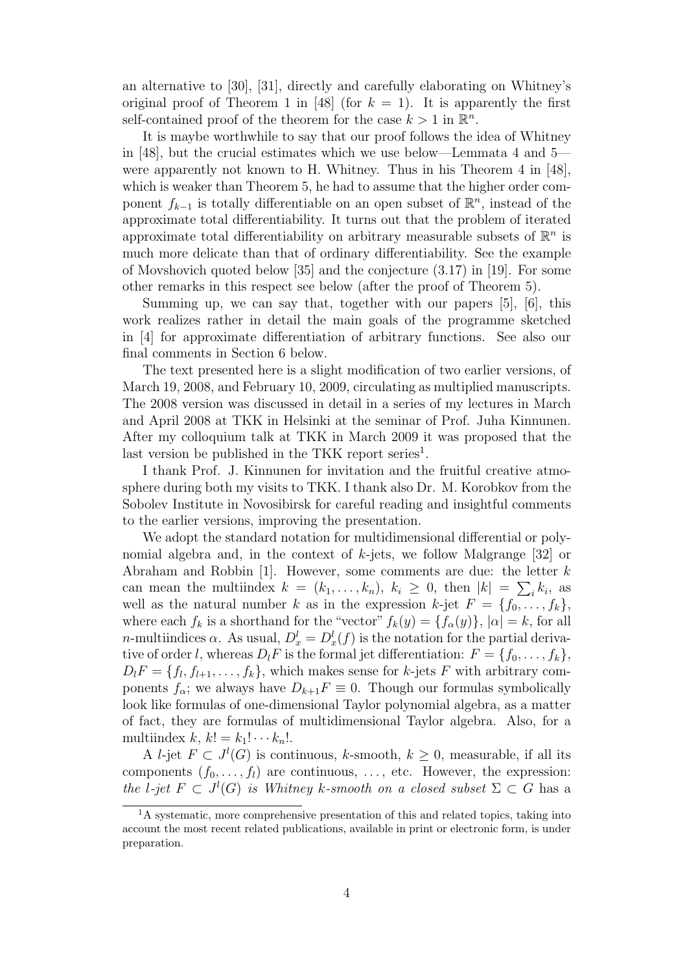an alternative to [30], [31], directly and carefully elaborating on Whitney's original proof of Theorem 1 in [48] (for  $k = 1$ ). It is apparently the first self-contained proof of the theorem for the case  $k > 1$  in  $\mathbb{R}^n$ .

It is maybe worthwhile to say that our proof follows the idea of Whitney in [48], but the crucial estimates which we use below—Lemmata 4 and 5 were apparently not known to H. Whitney. Thus in his Theorem 4 in [48], which is weaker than Theorem 5, he had to assume that the higher order component  $f_{k-1}$  is totally differentiable on an open subset of  $\mathbb{R}^n$ , instead of the approximate total differentiability. It turns out that the problem of iterated approximate total differentiability on arbitrary measurable subsets of  $\mathbb{R}^n$  is much more delicate than that of ordinary differentiability. See the example of Movshovich quoted below [35] and the conjecture (3.17) in [19]. For some other remarks in this respect see below (after the proof of Theorem 5).

Summing up, we can say that, together with our papers [5], [6], this work realizes rather in detail the main goals of the programme sketched in [4] for approximate differentiation of arbitrary functions. See also our final comments in Section 6 below.

The text presented here is a slight modification of two earlier versions, of March 19, 2008, and February 10, 2009, circulating as multiplied manuscripts. The 2008 version was discussed in detail in a series of my lectures in March and April 2008 at TKK in Helsinki at the seminar of Prof. Juha Kinnunen. After my colloquium talk at TKK in March 2009 it was proposed that the last version be published in the TKK report series<sup>1</sup>.

I thank Prof. J. Kinnunen for invitation and the fruitful creative atmosphere during both my visits to TKK. I thank also Dr. M. Korobkov from the Sobolev Institute in Novosibirsk for careful reading and insightful comments to the earlier versions, improving the presentation.

We adopt the standard notation for multidimensional differential or polynomial algebra and, in the context of  $k$ -jets, we follow Malgrange [32] or Abraham and Robbin  $[1]$ . However, some comments are due: the letter k can mean the multiindex  $k = (k_1, \ldots, k_n), k_i \geq 0$ , then  $|k| = \sum_i k_i$ , as well as the natural number k as in the expression k-jet  $F = \{f_0, \ldots, f_k\},\$ where each  $f_k$  is a shorthand for the "vector"  $f_k(y) = \{f_\alpha(y)\}\,$ ,  $|\alpha| = k$ , for all *n*-multiindices  $\alpha$ . As usual,  $D_x^l = D_x^l(f)$  is the notation for the partial derivative of order l, whereas  $D_l F$  is the formal jet differentiation:  $F = \{f_0, \ldots, f_k\},\$  $D_l F = \{f_l, f_{l+1}, \ldots, f_k\}$ , which makes sense for k-jets F with arbitrary components  $f_{\alpha}$ ; we always have  $D_{k+1}F \equiv 0$ . Though our formulas symbolically look like formulas of one-dimensional Taylor polynomial algebra, as a matter of fact, they are formulas of multidimensional Taylor algebra. Also, for a multiindex  $k, k! = k_1! \cdots k_n!$ .

A *l*-jet  $F \subset J^l(G)$  is continuous, *k*-smooth,  $k \geq 0$ , measurable, if all its components  $(f_0, \ldots, f_l)$  are continuous,  $\ldots$ , etc. However, the expression: the l-jet  $F \subset J^l(G)$  is Whitney k-smooth on a closed subset  $\Sigma \subset G$  has a

<sup>&</sup>lt;sup>1</sup>A systematic, more comprehensive presentation of this and related topics, taking into account the most recent related publications, available in print or electronic form, is under preparation.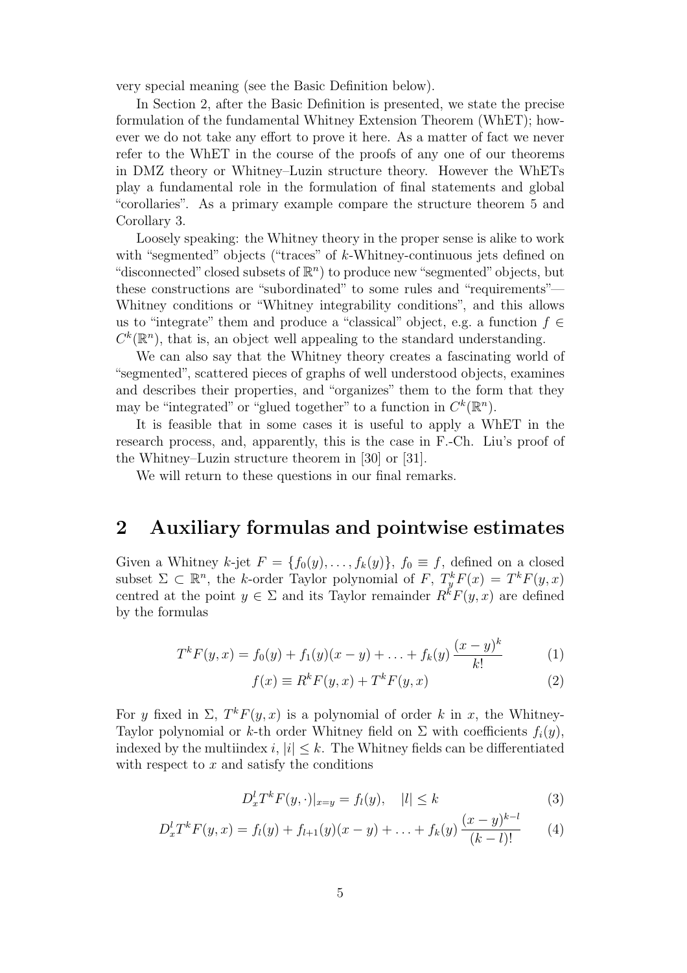very special meaning (see the Basic Definition below).

In Section 2, after the Basic Definition is presented, we state the precise formulation of the fundamental Whitney Extension Theorem (WhET); however we do not take any effort to prove it here. As a matter of fact we never refer to the WhET in the course of the proofs of any one of our theorems in DMZ theory or Whitney–Luzin structure theory. However the WhETs play a fundamental role in the formulation of final statements and global "corollaries". As a primary example compare the structure theorem 5 and Corollary 3.

Loosely speaking: the Whitney theory in the proper sense is alike to work with "segmented" objects ("traces" of  $k$ -Whitney-continuous jets defined on "disconnected" closed subsets of  $\mathbb{R}^n$ ) to produce new "segmented" objects, but these constructions are "subordinated" to some rules and "requirements"— Whitney conditions or "Whitney integrability conditions", and this allows us to "integrate" them and produce a "classical" object, e.g. a function  $f \in$  $C^k(\mathbb{R}^n)$ , that is, an object well appealing to the standard understanding.

We can also say that the Whitney theory creates a fascinating world of "segmented", scattered pieces of graphs of well understood objects, examines and describes their properties, and "organizes" them to the form that they may be "integrated" or "glued together" to a function in  $C^k(\mathbb{R}^n)$ .

It is feasible that in some cases it is useful to apply a WhET in the research process, and, apparently, this is the case in F.-Ch. Liu's proof of the Whitney–Luzin structure theorem in [30] or [31].

We will return to these questions in our final remarks.

### 2 Auxiliary formulas and pointwise estimates

Given a Whitney k-jet  $F = \{f_0(y), \ldots, f_k(y)\}\$ ,  $f_0 \equiv f$ , defined on a closed subset  $\Sigma \subset \mathbb{R}^n$ , the k-order Taylor polynomial of F,  $T_y^k F(x) = T^k F(y, x)$ centred at the point  $y \in \Sigma$  and its Taylor remainder  $R^k F(y, x)$  are defined by the formulas

$$
T^{k}F(y,x) = f_0(y) + f_1(y)(x - y) + \ldots + f_k(y) \frac{(x - y)^k}{k!}
$$
 (1)

$$
f(x) \equiv R^k F(y, x) + T^k F(y, x)
$$
\n(2)

For y fixed in  $\Sigma$ ,  $T^k F(y, x)$  is a polynomial of order k in x, the Whitney-Taylor polynomial or k-th order Whitney field on  $\Sigma$  with coefficients  $f_i(y)$ , indexed by the multiindex i,  $|i| \leq k$ . The Whitney fields can be differentiated with respect to  $x$  and satisfy the conditions

$$
D_x^l T^k F(y, \cdot)|_{x=y} = f_l(y), \quad |l| \le k \tag{3}
$$

$$
D_x^l T^k F(y, x) = f_l(y) + f_{l+1}(y)(x - y) + \ldots + f_k(y) \frac{(x - y)^{k-l}}{(k - l)!}
$$
 (4)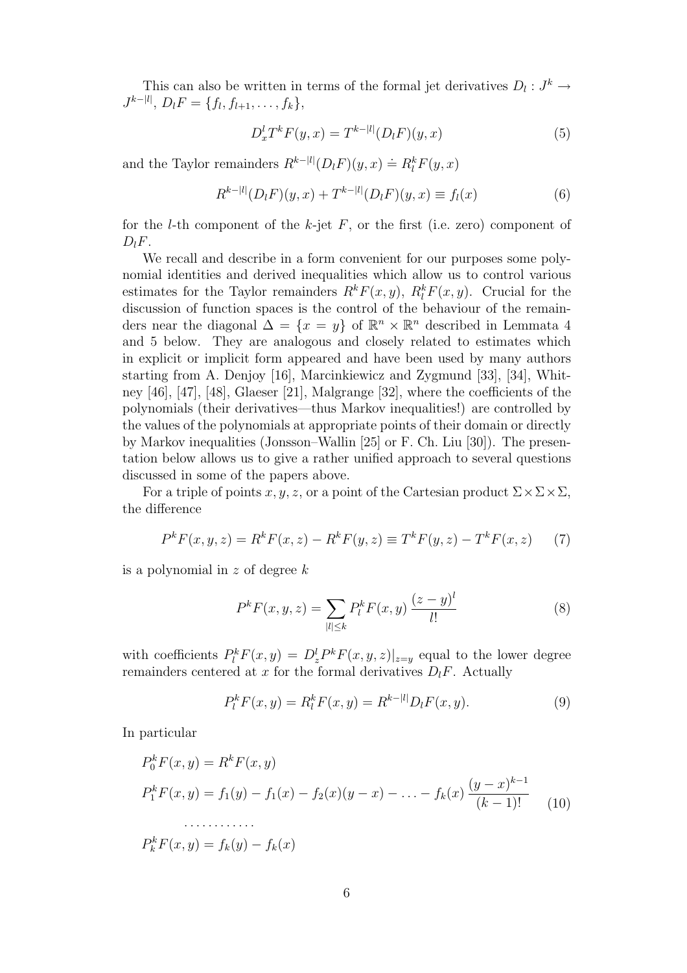This can also be written in terms of the formal jet derivatives  $D_l: J^k \to$  $J^{k-|l|}, D_l F = \{f_l, f_{l+1}, \ldots, f_k\},\$ 

$$
D_x^l T^k F(y, x) = T^{k-|l|} (D_l F)(y, x)
$$
\n(5)

and the Taylor remainders  $R^{k-|l|}(D_lF)(y, x) \doteq R_l^k F(y, x)$ 

$$
R^{k-|l|}(D_l F)(y, x) + T^{k-|l|}(D_l F)(y, x) \equiv f_l(x)
$$
\n(6)

for the *l*-th component of the *k*-jet  $F$ , or the first (i.e. zero) component of  $D_lF$ .

We recall and describe in a form convenient for our purposes some polynomial identities and derived inequalities which allow us to control various estimates for the Taylor remainders  $R^k F(x, y)$ ,  $R^k F(x, y)$ . Crucial for the discussion of function spaces is the control of the behaviour of the remainders near the diagonal  $\Delta = \{x = y\}$  of  $\mathbb{R}^n \times \mathbb{R}^n$  described in Lemmata 4 and 5 below. They are analogous and closely related to estimates which in explicit or implicit form appeared and have been used by many authors starting from A. Denjoy [16], Marcinkiewicz and Zygmund [33], [34], Whitney [46], [47], [48], Glaeser [21], Malgrange [32], where the coefficients of the polynomials (their derivatives—thus Markov inequalities!) are controlled by the values of the polynomials at appropriate points of their domain or directly by Markov inequalities (Jonsson–Wallin [25] or F. Ch. Liu [30]). The presentation below allows us to give a rather unified approach to several questions discussed in some of the papers above.

For a triple of points x, y, z, or a point of the Cartesian product  $\Sigma \times \Sigma \times \Sigma$ , the difference

$$
P^{k}F(x, y, z) = R^{k}F(x, z) - R^{k}F(y, z) \equiv T^{k}F(y, z) - T^{k}F(x, z)
$$
 (7)

is a polynomial in  $z$  of degree  $k$ 

$$
P^{k}F(x, y, z) = \sum_{|l| \le k} P^{k}_{l}F(x, y) \frac{(z - y)^{l}}{l!}
$$
 (8)

with coefficients  $P_l^k F(x, y) = D_z^l P^k F(x, y, z)|_{z=y}$  equal to the lower degree remainders centered at x for the formal derivatives  $D_lF$ . Actually

$$
P_l^k F(x, y) = R_l^k F(x, y) = R^{k-|l|} D_l F(x, y).
$$
\n(9)

In particular

$$
P_0^k F(x, y) = R^k F(x, y)
$$
  
\n
$$
P_1^k F(x, y) = f_1(y) - f_1(x) - f_2(x)(y - x) - \dots - f_k(x) \frac{(y - x)^{k-1}}{(k-1)!}
$$
  
\n
$$
\dots \dots \dots
$$
  
\n
$$
P_k^k F(x, y) = f_k(y) - f_k(x)
$$
 (10)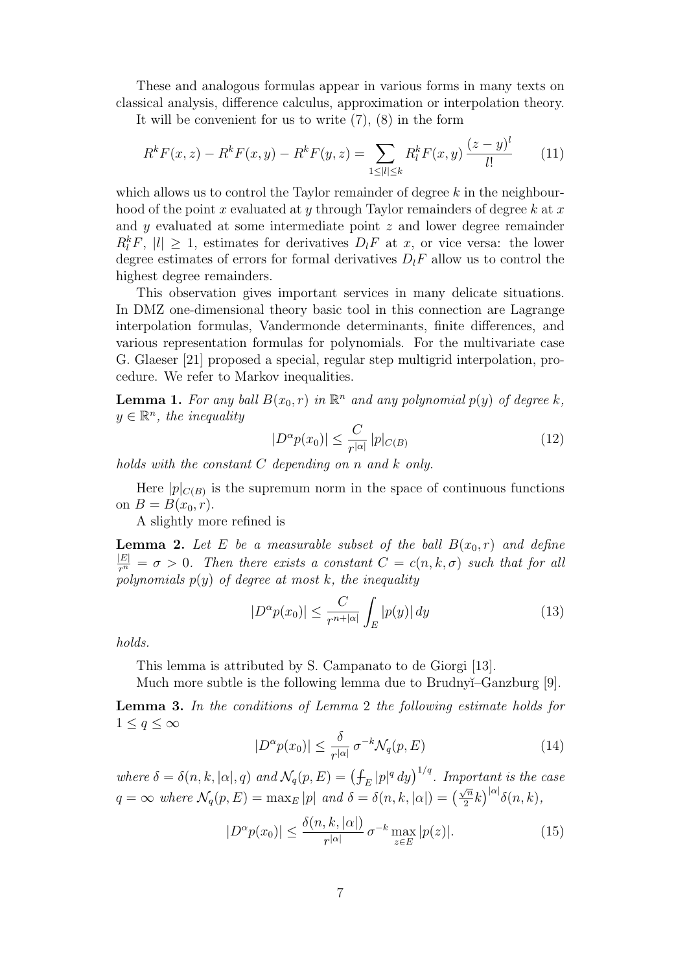These and analogous formulas appear in various forms in many texts on classical analysis, difference calculus, approximation or interpolation theory.

It will be convenient for us to write (7), (8) in the form

$$
R^k F(x, z) - R^k F(x, y) - R^k F(y, z) = \sum_{1 \le |l| \le k} R^k_l F(x, y) \frac{(z - y)^l}{l!} \tag{11}
$$

which allows us to control the Taylor remainder of degree  $k$  in the neighbourhood of the point x evaluated at y through Taylor remainders of degree k at x and y evaluated at some intermediate point z and lower degree remainder  $R_l^k F$ ,  $|l| \geq 1$ , estimates for derivatives  $D_l F$  at x, or vice versa: the lower degree estimates of errors for formal derivatives  $D_lF$  allow us to control the highest degree remainders.

This observation gives important services in many delicate situations. In DMZ one-dimensional theory basic tool in this connection are Lagrange interpolation formulas, Vandermonde determinants, finite differences, and various representation formulas for polynomials. For the multivariate case G. Glaeser [21] proposed a special, regular step multigrid interpolation, procedure. We refer to Markov inequalities.

**Lemma 1.** For any ball  $B(x_0, r)$  in  $\mathbb{R}^n$  and any polynomial  $p(y)$  of degree k,  $y \in \mathbb{R}^n$ , the inequality

$$
|D^{\alpha}p(x_0)| \le \frac{C}{r^{|\alpha|}} \, |p|_{C(B)} \tag{12}
$$

holds with the constant  $C$  depending on n and  $k$  only.

Here  $|p|_{C(B)}$  is the supremum norm in the space of continuous functions on  $B = B(x_0, r)$ .

A slightly more refined is

**Lemma 2.** Let E be a measurable subset of the ball  $B(x_0, r)$  and define  $\frac{|E|}{r^n} = \sigma > 0$ . Then there exists a constant  $C = c(n, k, \sigma)$  such that for all polynomials  $p(y)$  of degree at most k, the inequality

$$
|D^{\alpha}p(x_0)| \le \frac{C}{r^{n+|\alpha|}} \int_E |p(y)| \, dy \tag{13}
$$

holds.

This lemma is attributed by S. Campanato to de Giorgi [13].

Much more subtle is the following lemma due to Brudnyĭ–Ganzburg [9].

Lemma 3. In the conditions of Lemma 2 the following estimate holds for  $1 \leq q \leq \infty$ 

$$
|D^{\alpha}p(x_0)| \le \frac{\delta}{r^{|\alpha|}} \sigma^{-k} \mathcal{N}_q(p, E) \tag{14}
$$

where  $\delta = \delta(n, k, |\alpha|, q)$  and  $\mathcal{N}_q(p, E) = (\int_E |p|^q dy)^{1/q}$ . Important is the case  $q = \infty$  where  $\mathcal{N}_q(p, E) = \max_E |p|$  and  $\delta = \delta(n, k, |\alpha|) = (\frac{\sqrt{n}}{2})$  $\frac{\sqrt{n}}{2}k\big)^{|\alpha|}\delta(n,k),$ 

$$
|D^{\alpha}p(x_0)| \le \frac{\delta(n,k,|\alpha|)}{r^{|\alpha|}} \sigma^{-k} \max_{z \in E} |p(z)|. \tag{15}
$$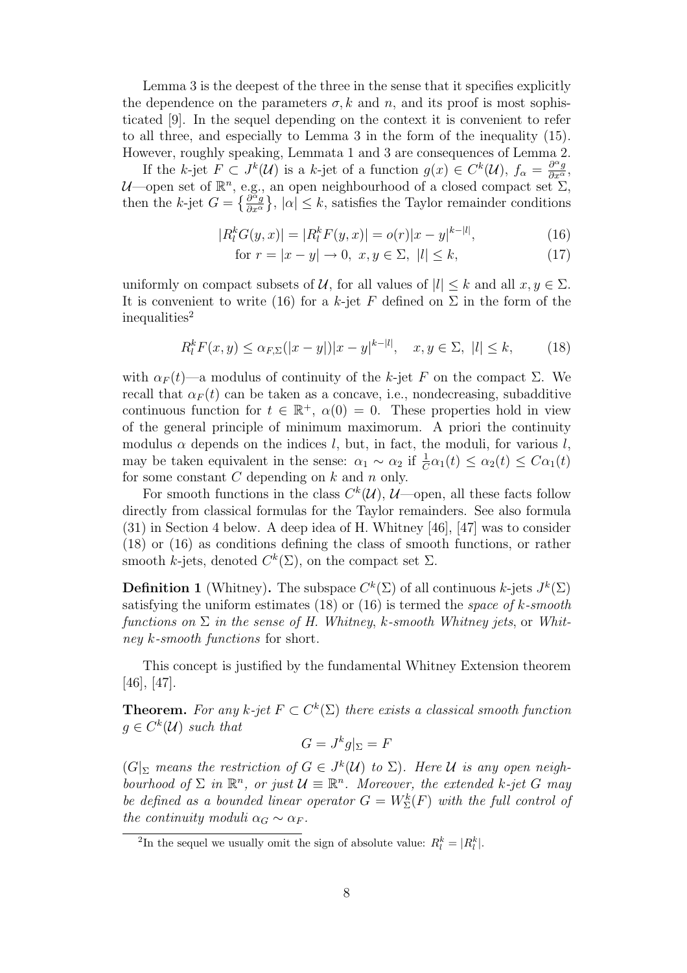Lemma 3 is the deepest of the three in the sense that it specifies explicitly the dependence on the parameters  $\sigma$ , k and n, and its proof is most sophisticated [9]. In the sequel depending on the context it is convenient to refer to all three, and especially to Lemma 3 in the form of the inequality (15). However, roughly speaking, Lemmata 1 and 3 are consequences of Lemma 2.

If the k-jet  $F \subset J^k(\mathcal{U})$  is a k-jet of a function  $g(x) \in C^k(\mathcal{U}), f_{\alpha} = \frac{\partial^{\alpha} g}{\partial x^{\alpha}},$  $\mathcal{U}$ —open set of  $\mathbb{R}^n$ , e.g., an open neighbourhood of a closed compact set  $\Sigma$ , then the k-jet  $G = \left\{ \frac{\partial^{\alpha} g}{\partial x^{\alpha}} \right\}$  $\frac{\partial^{\alpha} g}{\partial x^{\alpha}}$ ,  $|\alpha| \leq k$ , satisfies the Taylor remainder conditions

$$
|R_l^k G(y, x)| = |R_l^k F(y, x)| = o(r)|x - y|^{k - |l|},\tag{16}
$$

$$
\text{for } r = |x - y| \to 0, \ x, y \in \Sigma, \ |l| \le k,\tag{17}
$$

uniformly on compact subsets of  $\mathcal{U}$ , for all values of  $|l| \leq k$  and all  $x, y \in \Sigma$ . It is convenient to write (16) for a k-jet F defined on  $\Sigma$  in the form of the inequalities<sup>2</sup>

$$
R_l^k F(x, y) \le \alpha_{F, \Sigma} (|x - y|) |x - y|^{k - |l|}, \quad x, y \in \Sigma, \ |l| \le k,\tag{18}
$$

with  $\alpha_F(t)$ —a modulus of continuity of the k-jet F on the compact  $\Sigma$ . We recall that  $\alpha_F(t)$  can be taken as a concave, i.e., nondecreasing, subadditive continuous function for  $t \in \mathbb{R}^+$ ,  $\alpha(0) = 0$ . These properties hold in view of the general principle of minimum maximorum. A priori the continuity modulus  $\alpha$  depends on the indices l, but, in fact, the moduli, for various l, may be taken equivalent in the sense:  $\alpha_1 \sim \alpha_2$  if  $\frac{1}{C}\alpha_1(t) \leq \alpha_2(t) \leq C\alpha_1(t)$ for some constant  $C$  depending on  $k$  and  $n$  only.

For smooth functions in the class  $C^k(\mathcal{U}), \mathcal{U}$  -open, all these facts follow directly from classical formulas for the Taylor remainders. See also formula (31) in Section 4 below. A deep idea of H. Whitney [46], [47] was to consider (18) or (16) as conditions defining the class of smooth functions, or rather smooth *k*-jets, denoted  $C^k(\Sigma)$ , on the compact set  $\Sigma$ .

**Definition 1** (Whitney). The subspace  $C^k(\Sigma)$  of all continuous k-jets  $J^k(\Sigma)$ satisfying the uniform estimates  $(18)$  or  $(16)$  is termed the space of k-smooth functions on  $\Sigma$  in the sense of H. Whitney, k-smooth Whitney jets, or Whitney k-smooth functions for short.

This concept is justified by the fundamental Whitney Extension theorem [46], [47].

**Theorem.** For any k-jet  $F \subset C^k(\Sigma)$  there exists a classical smooth function  $g \in C^k(\mathcal{U})$  such that

$$
G = J^k g|_{\Sigma} = F
$$

 $(G|_{\Sigma}$  means the restriction of  $G \in J^k(\mathcal{U})$  to  $\Sigma$ ). Here U is any open neighbourhood of  $\Sigma$  in  $\mathbb{R}^n$ , or just  $\mathcal{U} \equiv \mathbb{R}^n$ . Moreover, the extended k-jet G may be defined as a bounded linear operator  $G = W_{\Sigma}^{k}(F)$  with the full control of the continuity moduli  $\alpha_G \sim \alpha_F$ .

<sup>&</sup>lt;sup>2</sup>In the sequel we usually omit the sign of absolute value:  $R_l^k = |R_l^k|$ .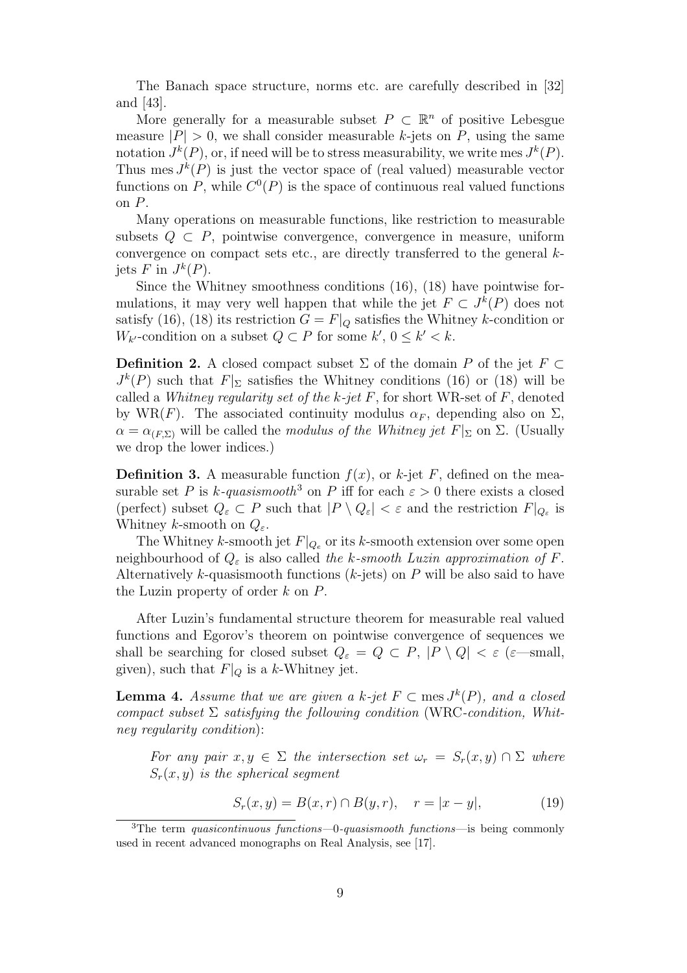The Banach space structure, norms etc. are carefully described in [32] and [43].

More generally for a measurable subset  $P \subset \mathbb{R}^n$  of positive Lebesgue measure  $|P| > 0$ , we shall consider measurable k-jets on P, using the same notation  $J^k(P)$ , or, if need will be to stress measurability, we write mes  $J^k(P)$ . Thus mes  $J^k(P)$  is just the vector space of (real valued) measurable vector functions on P, while  $C^0(P)$  is the space of continuous real valued functions on P.

Many operations on measurable functions, like restriction to measurable subsets  $Q \subset P$ , pointwise convergence, convergence in measure, uniform convergence on compact sets etc., are directly transferred to the general kjets F in  $J^k(P)$ .

Since the Whitney smoothness conditions (16), (18) have pointwise formulations, it may very well happen that while the jet  $F \subset J^k(P)$  does not satisfy (16), (18) its restriction  $G = F|_Q$  satisfies the Whitney k-condition or  $W_{k'}$ -condition on a subset  $Q \subset P$  for some  $k'$ ,  $0 \le k' < k$ .

**Definition 2.** A closed compact subset  $\Sigma$  of the domain P of the jet  $F \subset$  $J^k(P)$  such that  $F|_{\Sigma}$  satisfies the Whitney conditions (16) or (18) will be called a Whitney regularity set of the k-jet  $F$ , for short WR-set of  $F$ , denoted by WR(F). The associated continuity modulus  $\alpha_F$ , depending also on  $\Sigma$ ,  $\alpha = \alpha_{(F,\Sigma)}$  will be called the modulus of the Whitney jet  $F|_{\Sigma}$  on  $\Sigma$ . (Usually we drop the lower indices.)

**Definition 3.** A measurable function  $f(x)$ , or k-jet F, defined on the measurable set P is k-quasismooth<sup>3</sup> on P iff for each  $\varepsilon > 0$  there exists a closed (perfect) subset  $Q_{\varepsilon} \subset P$  such that  $|P \setminus Q_{\varepsilon}| < \varepsilon$  and the restriction  $F|_{Q_{\varepsilon}}$  is Whitney k-smooth on  $Q_{\varepsilon}$ .

The Whitney k-smooth jet  $F|_{Q_e}$  or its k-smooth extension over some open neighbourhood of  $Q_{\varepsilon}$  is also called the k-smooth Luzin approximation of F. Alternatively k-quasismooth functions  $(k$ -jets) on P will be also said to have the Luzin property of order k on P.

After Luzin's fundamental structure theorem for measurable real valued functions and Egorov's theorem on pointwise convergence of sequences we shall be searching for closed subset  $Q_{\varepsilon} = Q \subset P$ ,  $|P \setminus Q| < \varepsilon$  ( $\varepsilon$ —small, given), such that  $F|_Q$  is a k-Whitney jet.

**Lemma 4.** Assume that we are given a k-jet  $F \subset \text{mes } J^k(P)$ , and a closed compact subset  $\Sigma$  satisfying the following condition (WRC-condition, Whitney regularity condition):

For any pair  $x,y \in \Sigma$  the intersection set  $\omega_r = S_r(x,y) \cap \Sigma$  where  $S_r(x,y)$  is the spherical seqment

$$
S_r(x, y) = B(x, r) \cap B(y, r), \quad r = |x - y|,
$$
 (19)

<sup>&</sup>lt;sup>3</sup>The term *quasicontinuous functions*—0-*quasismooth functions*—is being commonly used in recent advanced monographs on Real Analysis, see [17].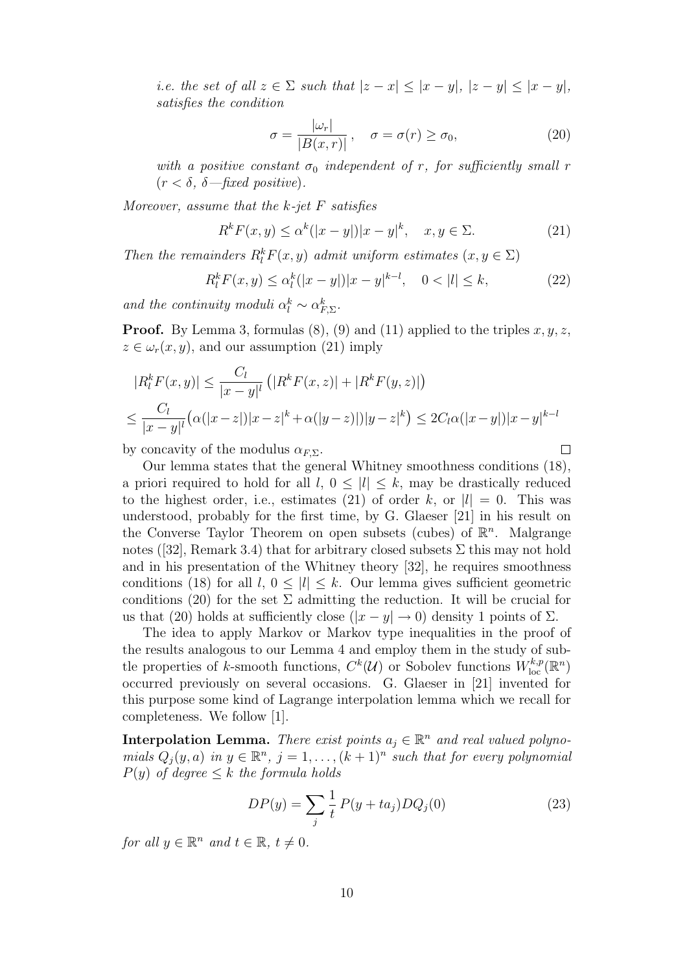i.e. the set of all  $z \in \Sigma$  such that  $|z - x| \leq |x - y|, |z - y| \leq |x - y|,$ satisfies the condition

$$
\sigma = \frac{|\omega_r|}{|B(x, r)|}, \quad \sigma = \sigma(r) \ge \sigma_0,\tag{20}
$$

 $\Box$ 

with a positive constant  $\sigma_0$  independent of r, for sufficiently small r  $(r < \delta, \delta$  -fixed positive).

Moreover, assume that the  $k$ -jet  $F$  satisfies

$$
R^k F(x, y) \le \alpha^k (|x - y|) |x - y|^k, \quad x, y \in \Sigma.
$$
 (21)

Then the remainders  $R_l^k F(x, y)$  admit uniform estimates  $(x, y \in \Sigma)$ 

$$
R_l^k F(x, y) \le \alpha_l^k (|x - y|) |x - y|^{k - l}, \quad 0 < |l| \le k,\tag{22}
$$

and the continuity moduli  $\alpha_l^k \sim \alpha_{F,\Sigma}^k$ .

**Proof.** By Lemma 3, formulas (8), (9) and (11) applied to the triples  $x, y, z$ ,  $z \in \omega_r(x, y)$ , and our assumption (21) imply

$$
|R_l^k F(x, y)| \le \frac{C_l}{|x - y|^l} \left( |R^k F(x, z)| + |R^k F(y, z)| \right)
$$
  

$$
\le \frac{C_l}{|x - y|^l} \left( \alpha(|x - z|) |x - z|^k + \alpha(|y - z)|) |y - z|^k \right) \le 2C_l \alpha(|x - y|) |x - y|^{k - l}
$$

by concavity of the modulus  $\alpha_{F\Sigma}$ .

Our lemma states that the general Whitney smoothness conditions (18), a priori required to hold for all  $l, 0 \leq |l| \leq k$ , may be drastically reduced to the highest order, i.e., estimates (21) of order k, or  $|l| = 0$ . This was understood, probably for the first time, by G. Glaeser [21] in his result on the Converse Taylor Theorem on open subsets (cubes) of  $\mathbb{R}^n$ . Malgrange notes ([32], Remark 3.4) that for arbitrary closed subsets  $\Sigma$  this may not hold and in his presentation of the Whitney theory [32], he requires smoothness conditions (18) for all  $l, 0 \leq |l| \leq k$ . Our lemma gives sufficient geometric conditions (20) for the set  $\Sigma$  admitting the reduction. It will be crucial for us that (20) holds at sufficiently close  $(|x - y| \to 0)$  density 1 points of  $\Sigma$ .

The idea to apply Markov or Markov type inequalities in the proof of the results analogous to our Lemma 4 and employ them in the study of subtle properties of k-smooth functions,  $C^k(\mathcal{U})$  or Sobolev functions  $W^{k,p}_{\text{loc}}(\mathbb{R}^n)$ occurred previously on several occasions. G. Glaeser in [21] invented for this purpose some kind of Lagrange interpolation lemma which we recall for completeness. We follow [1].

**Interpolation Lemma.** There exist points  $a_j \in \mathbb{R}^n$  and real valued polynomials  $Q_j(y, a)$  in  $y \in \mathbb{R}^n$ ,  $j = 1, \ldots, (k+1)^n$  such that for every polynomial  $P(y)$  of degree  $\leq k$  the formula holds

$$
DP(y) = \sum_{j} \frac{1}{t} P(y + ta_j) DQ_j(0)
$$
 (23)

for all  $y \in \mathbb{R}^n$  and  $t \in \mathbb{R}$ ,  $t \neq 0$ .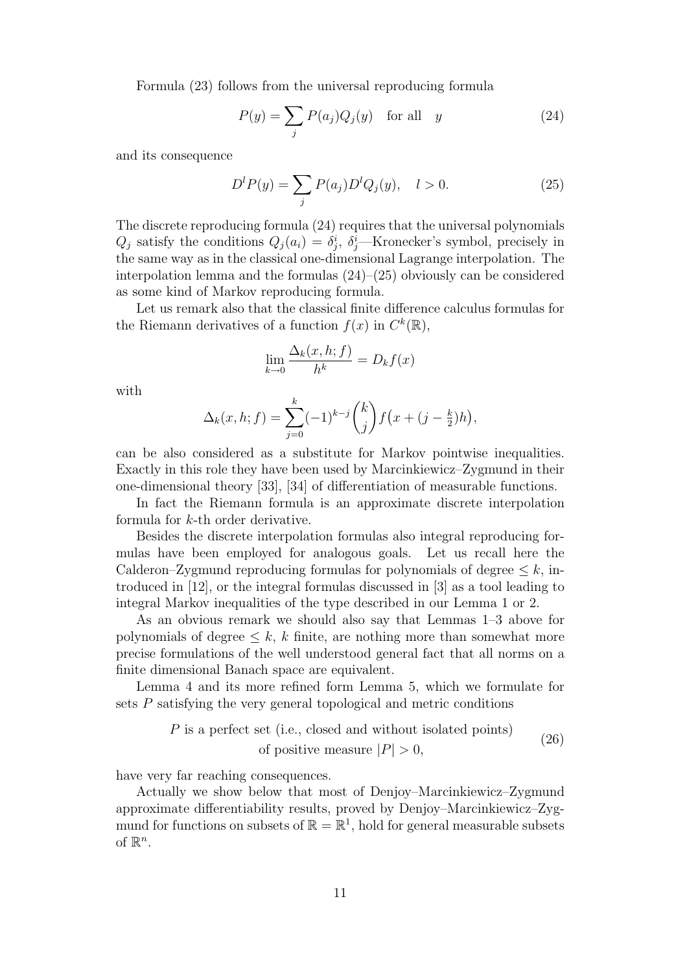Formula (23) follows from the universal reproducing formula

$$
P(y) = \sum_{j} P(a_j) Q_j(y) \quad \text{for all} \quad y \tag{24}
$$

and its consequence

$$
D^{l}P(y) = \sum_{j} P(a_j)D^{l}Q_j(y), \quad l > 0.
$$
 (25)

The discrete reproducing formula (24) requires that the universal polynomials  $Q_j$  satisfy the conditions  $Q_j(a_i) = \delta_j^i$ ,  $\delta_j^i$ —Kronecker's symbol, precisely in the same way as in the classical one-dimensional Lagrange interpolation. The interpolation lemma and the formulas (24)–(25) obviously can be considered as some kind of Markov reproducing formula.

Let us remark also that the classical finite difference calculus formulas for the Riemann derivatives of a function  $f(x)$  in  $C^{k}(\mathbb{R}),$ 

$$
\lim_{k \to 0} \frac{\Delta_k(x, h; f)}{h^k} = D_k f(x)
$$

with

$$
\Delta_k(x, h; f) = \sum_{j=0}^k (-1)^{k-j} {k \choose j} f(x + (j - \frac{k}{2})h),
$$

can be also considered as a substitute for Markov pointwise inequalities. Exactly in this role they have been used by Marcinkiewicz–Zygmund in their one-dimensional theory [33], [34] of differentiation of measurable functions.

In fact the Riemann formula is an approximate discrete interpolation formula for k-th order derivative.

Besides the discrete interpolation formulas also integral reproducing formulas have been employed for analogous goals. Let us recall here the Calderon–Zygmund reproducing formulas for polynomials of degree  $\leq k$ , introduced in [12], or the integral formulas discussed in [3] as a tool leading to integral Markov inequalities of the type described in our Lemma 1 or 2.

As an obvious remark we should also say that Lemmas 1–3 above for polynomials of degree  $\leq k$ , k finite, are nothing more than somewhat more precise formulations of the well understood general fact that all norms on a finite dimensional Banach space are equivalent.

Lemma 4 and its more refined form Lemma 5, which we formulate for sets P satisfying the very general topological and metric conditions

$$
P
$$
 is a perfect set (i.e., closed and without isolated points) of positive measure  $|P| > 0$ , (26)

have very far reaching consequences.

Actually we show below that most of Denjoy–Marcinkiewicz–Zygmund approximate differentiability results, proved by Denjoy–Marcinkiewicz–Zygmund for functions on subsets of  $\mathbb{R} = \mathbb{R}^1$ , hold for general measurable subsets of  $\mathbb{R}^n$ .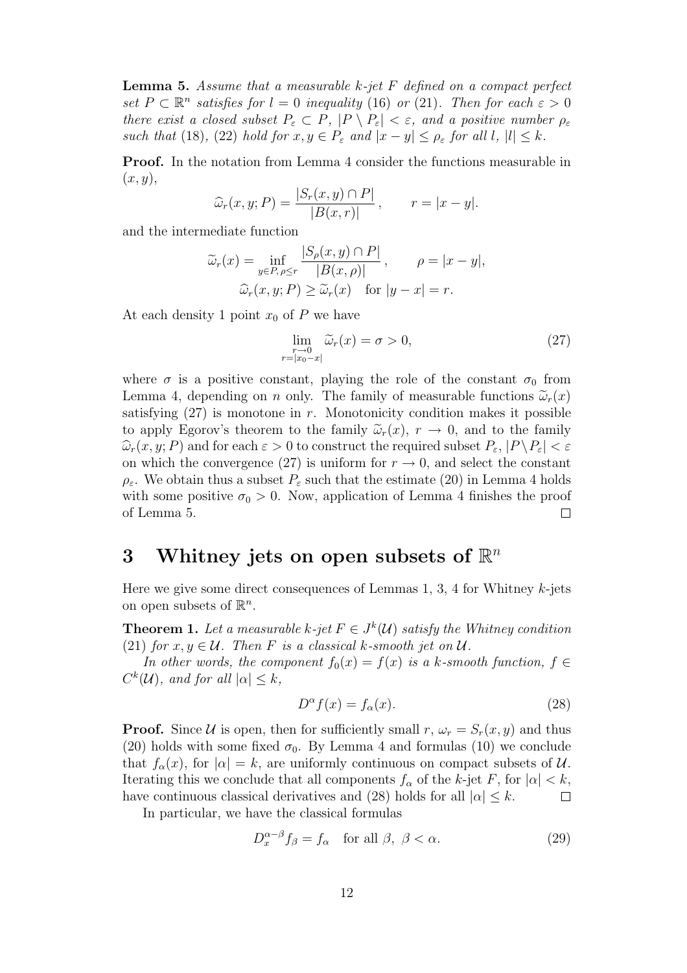**Lemma 5.** Assume that a measurable  $k$ -jet  $F$  defined on a compact perfect set  $P \subset \mathbb{R}^n$  satisfies for  $l = 0$  inequality (16) or (21). Then for each  $\varepsilon > 0$ there exist a closed subset  $P_{\varepsilon} \subset P$ ,  $|P \setminus P_{\varepsilon}| < \varepsilon$ , and a positive number  $\rho_{\varepsilon}$ such that (18), (22) hold for  $x, y \in P_{\varepsilon}$  and  $|x - y| \leq \rho_{\varepsilon}$  for all  $l, |l| \leq k$ .

Proof. In the notation from Lemma 4 consider the functions measurable in  $(x,y),$ 

$$
\widehat{\omega}_r(x, y; P) = \frac{|S_r(x, y) \cap P|}{|B(x, r)|}, \qquad r = |x - y|.
$$

and the intermediate function

$$
\widetilde{\omega}_r(x) = \inf_{y \in P, \rho \le r} \frac{|S_\rho(x, y) \cap P|}{|B(x, \rho)|}, \qquad \rho = |x - y|,
$$
  

$$
\widehat{\omega}_r(x, y; P) \ge \widetilde{\omega}_r(x) \quad \text{for } |y - x| = r.
$$

At each density 1 point  $x_0$  of P we have

$$
\lim_{\substack{r \to 0 \\ r = |x_0 - x|}} \widetilde{\omega}_r(x) = \sigma > 0,\tag{27}
$$

where  $\sigma$  is a positive constant, playing the role of the constant  $\sigma_0$  from Lemma 4, depending on n only. The family of measurable functions  $\tilde{\omega}_r(x)$ satisfying  $(27)$  is monotone in r. Monotonicity condition makes it possible to apply Egorov's theorem to the family  $\tilde{\omega}_r(x)$ ,  $r \to 0$ , and to the family  $\widehat{\omega}_r(x,y; P)$  and for each  $\varepsilon > 0$  to construct the required subset  $P_{\varepsilon}$ ,  $|P \backslash P_{\varepsilon}| < \varepsilon$ on which the convergence (27) is uniform for  $r \to 0$ , and select the constant  $\rho_{\varepsilon}$ . We obtain thus a subset  $P_{\varepsilon}$  such that the estimate (20) in Lemma 4 holds with some positive  $\sigma_0 > 0$ . Now, application of Lemma 4 finishes the proof of Lemma 5.  $\Box$ 

# 3 Whitney jets on open subsets of  $\mathbb{R}^n$

Here we give some direct consequences of Lemmas 1, 3, 4 for Whitney  $k$ -jets on open subsets of  $\mathbb{R}^n$ .

**Theorem 1.** Let a measurable k-jet  $F \in J^k(\mathcal{U})$  satisfy the Whitney condition (21) for  $x, y \in U$ . Then F is a classical k-smooth jet on  $U$ .

In other words, the component  $f_0(x) = f(x)$  is a k-smooth function,  $f \in$  $C^{k}(\mathcal{U})$ , and for all  $|\alpha| \leq k$ ,

$$
D^{\alpha}f(x) = f_{\alpha}(x). \tag{28}
$$

**Proof.** Since U is open, then for sufficiently small  $r, \omega_r = S_r(x, y)$  and thus (20) holds with some fixed  $\sigma_0$ . By Lemma 4 and formulas (10) we conclude that  $f_{\alpha}(x)$ , for  $|\alpha| = k$ , are uniformly continuous on compact subsets of U. Iterating this we conclude that all components  $f_{\alpha}$  of the k-jet F, for  $|\alpha| < k$ , have continuous classical derivatives and (28) holds for all  $|\alpha| \leq k$ .  $\Box$ 

In particular, we have the classical formulas

$$
D_x^{\alpha-\beta} f_{\beta} = f_{\alpha} \quad \text{for all } \beta, \ \beta < \alpha. \tag{29}
$$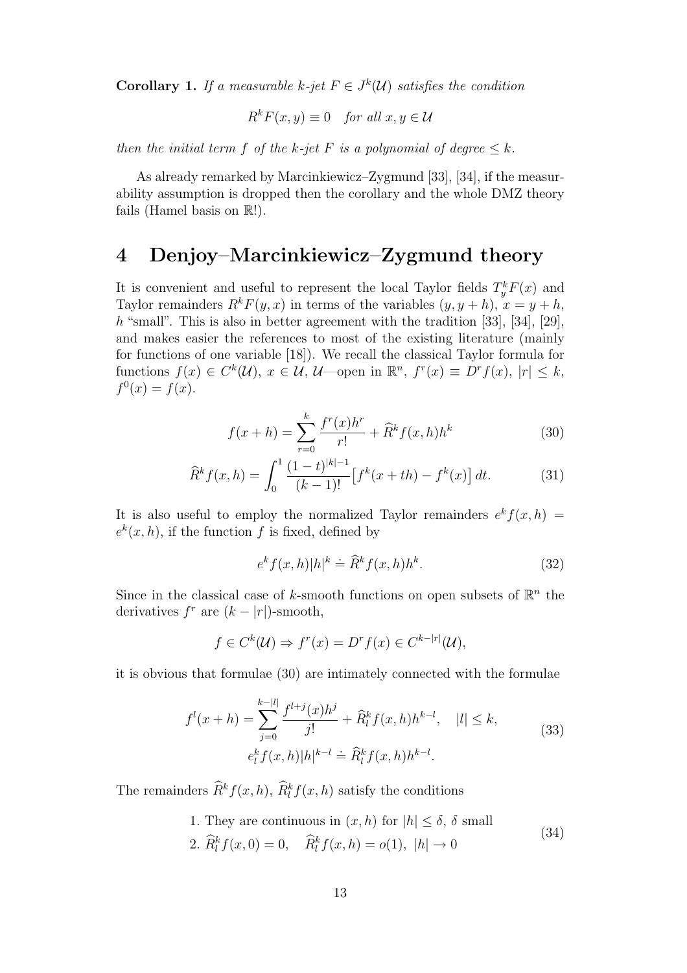**Corollary 1.** If a measurable k-jet  $F \in J^k(\mathcal{U})$  satisfies the condition

$$
R^k F(x, y) \equiv 0 \quad \text{for all } x, y \in \mathcal{U}
$$

then the initial term f of the k-jet F is a polynomial of degree  $\leq k$ .

As already remarked by Marcinkiewicz–Zygmund [33], [34], if the measurability assumption is dropped then the corollary and the whole DMZ theory fails (Hamel basis on  $\mathbb{R}$ !).

## 4 Denjoy–Marcinkiewicz–Zygmund theory

It is convenient and useful to represent the local Taylor fields  $T_y^k F(x)$  and Taylor remainders  $R^k F(y, x)$  in terms of the variables  $(y, y + h)$ ,  $x = y + h$ , h "small". This is also in better agreement with the tradition [33], [34], [29], and makes easier the references to most of the existing literature (mainly for functions of one variable [18]). We recall the classical Taylor formula for functions  $f(x) \in C^k(\mathcal{U}), x \in \mathcal{U}, \mathcal{U}$  -open in  $\mathbb{R}^n$ ,  $f^r(x) \equiv D^r f(x)$ ,  $|r| \leq k$ ,  $f^{0}(x) = f(x).$ 

$$
f(x+h) = \sum_{r=0}^{k} \frac{f^r(x)h^r}{r!} + \widehat{R}^k f(x,h)h^k
$$
 (30)

$$
\widehat{R}^k f(x, h) = \int_0^1 \frac{(1-t)^{|k|-1}}{(k-1)!} \left[ f^k(x+th) - f^k(x) \right] dt.
$$
 (31)

It is also useful to employ the normalized Taylor remainders  $e^{k} f(x, h) =$  $e^{k}(x,h)$ , if the function f is fixed, defined by

$$
e^{k} f(x,h)|h|^{k} \doteq \widehat{R}^{k} f(x,h)h^{k}.
$$
 (32)

Since in the classical case of k-smooth functions on open subsets of  $\mathbb{R}^n$  the derivatives  $f^r$  are  $(k - |r|)$ -smooth,

$$
f \in C^k(\mathcal{U}) \Rightarrow f^r(x) = D^r f(x) \in C^{k-|r|}(\mathcal{U}),
$$

it is obvious that formulae (30) are intimately connected with the formulae

$$
f^{l}(x+h) = \sum_{j=0}^{k-|l|} \frac{f^{l+j}(x)h^{j}}{j!} + \widehat{R}_{l}^{k} f(x,h)h^{k-l}, \quad |l| \le k,
$$
  
\n
$$
e_{l}^{k} f(x,h)|h|^{k-l} \doteq \widehat{R}_{l}^{k} f(x,h)h^{k-l}.
$$
\n(33)

The remainders  $\hat{R}^k f(x, h)$ ,  $\hat{R}^k_l f(x, h)$  satisfy the conditions

1. They are continuous in 
$$
(x, h)
$$
 for  $|h| \le \delta$ ,  $\delta$  small  
2.  $\widehat{R}_l^k f(x, 0) = 0$ ,  $\widehat{R}_l^k f(x, h) = o(1)$ ,  $|h| \to 0$  (34)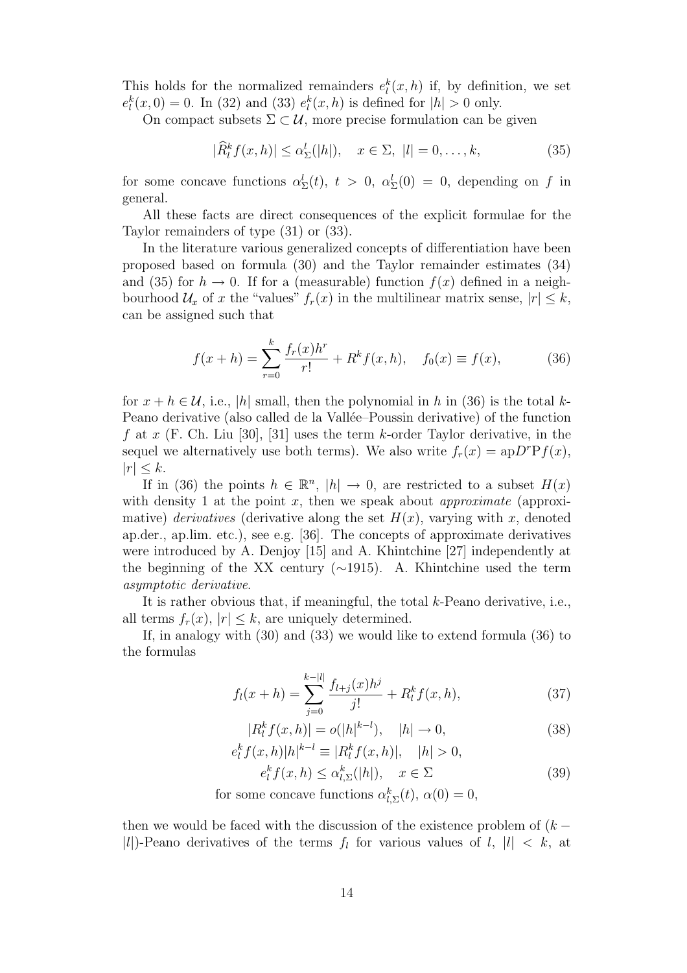This holds for the normalized remainders  $e_l^k(x,h)$  if, by definition, we set  $e_l^k(x,0) = 0$ . In (32) and (33)  $e_l^k(x,h)$  is defined for  $|h| > 0$  only.

On compact subsets  $\Sigma \subset \mathcal{U}$ , more precise formulation can be given

$$
|\widehat{R}_l^k f(x,h)| \le \alpha_{\Sigma}^l(|h|), \quad x \in \Sigma, \ |l| = 0, \dots, k,
$$
\n
$$
(35)
$$

for some concave functions  $\alpha_{\Sigma}^{l}(t), t > 0, \alpha_{\Sigma}^{l}(0) = 0$ , depending on f in general.

All these facts are direct consequences of the explicit formulae for the Taylor remainders of type (31) or (33).

In the literature various generalized concepts of differentiation have been proposed based on formula (30) and the Taylor remainder estimates (34) and (35) for  $h \to 0$ . If for a (measurable) function  $f(x)$  defined in a neighbourhood  $\mathcal{U}_x$  of x the "values"  $f_r(x)$  in the multilinear matrix sense,  $|r| \leq k$ , can be assigned such that

$$
f(x+h) = \sum_{r=0}^{k} \frac{f_r(x)h^r}{r!} + R^k f(x,h), \quad f_0(x) \equiv f(x), \tag{36}
$$

for  $x + h \in \mathcal{U}$ , i.e., |h| small, then the polynomial in h in (36) is the total k-Peano derivative (also called de la Vallée–Poussin derivative) of the function f at x (F. Ch. Liu [30], [31] uses the term k-order Taylor derivative, in the sequel we alternatively use both terms). We also write  $f_r(x) = apD^rPf(x)$ ,  $|r| \leq k$ .

If in (36) the points  $h \in \mathbb{R}^n$ ,  $|h| \to 0$ , are restricted to a subset  $H(x)$ with density 1 at the point  $x$ , then we speak about *approximate* (approximative) derivatives (derivative along the set  $H(x)$ , varying with x, denoted ap.der., ap.lim. etc.), see e.g. [36]. The concepts of approximate derivatives were introduced by A. Denjoy [15] and A. Khintchine [27] independently at the beginning of the XX century (∼1915). A. Khintchine used the term asymptotic derivative.

It is rather obvious that, if meaningful, the total k-Peano derivative, i.e., all terms  $f_r(x)$ ,  $|r| \leq k$ , are uniquely determined.

If, in analogy with (30) and (33) we would like to extend formula (36) to the formulas

$$
f_l(x+h) = \sum_{j=0}^{k-|l|} \frac{f_{l+j}(x)h^j}{j!} + R_l^k f(x,h), \tag{37}
$$

$$
|R_l^k f(x, h)| = o(|h|^{k-l}), \quad |h| \to 0,
$$
\n(38)

$$
e_l^k f(x,h)|h|^{k-l} \equiv |R_l^k f(x,h)|, \quad |h| > 0,
$$
  

$$
e_l^k f(x,h) \le \alpha_{l,\Sigma}^k(|h|), \quad x \in \Sigma
$$
 (39)

for some concave functions  $\alpha_{l,\Sigma}^k(t)$ ,  $\alpha(0) = 0$ ,

then we would be faced with the discussion of the existence problem of  $(k -$ |l|)-Peano derivatives of the terms  $f_l$  for various values of  $l, |l| < k$ , at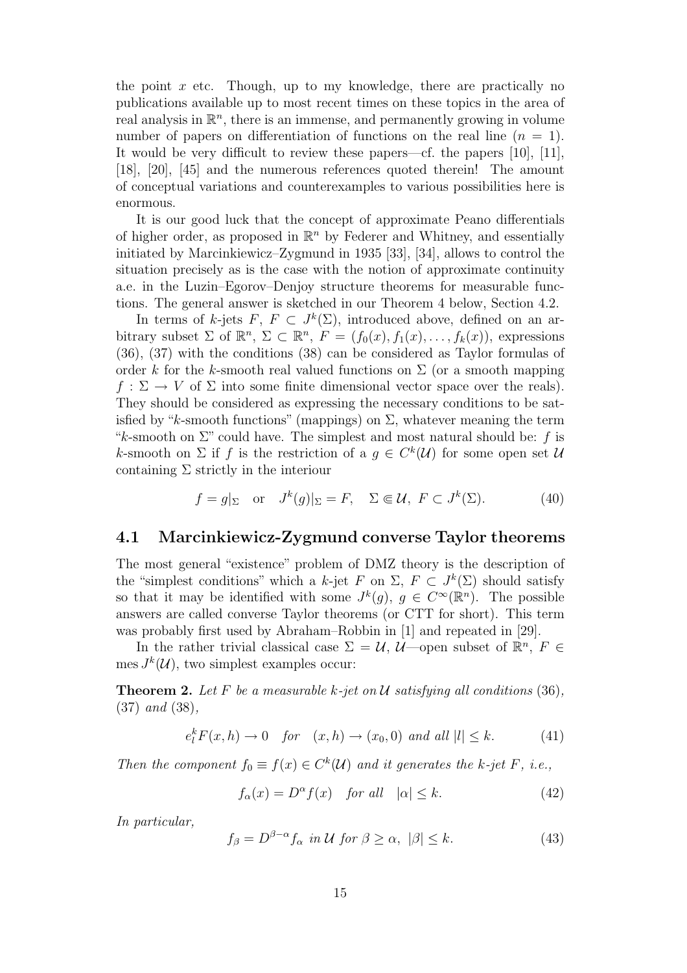the point  $x$  etc. Though, up to my knowledge, there are practically no publications available up to most recent times on these topics in the area of real analysis in  $\mathbb{R}^n$ , there is an immense, and permanently growing in volume number of papers on differentiation of functions on the real line  $(n = 1)$ . It would be very difficult to review these papers—cf. the papers [10], [11], [18], [20], [45] and the numerous references quoted therein! The amount of conceptual variations and counterexamples to various possibilities here is enormous.

It is our good luck that the concept of approximate Peano differentials of higher order, as proposed in  $\mathbb{R}^n$  by Federer and Whitney, and essentially initiated by Marcinkiewicz–Zygmund in 1935 [33], [34], allows to control the situation precisely as is the case with the notion of approximate continuity a.e. in the Luzin–Egorov–Denjoy structure theorems for measurable functions. The general answer is sketched in our Theorem 4 below, Section 4.2.

In terms of k-jets  $F, F \subset J^k(\Sigma)$ , introduced above, defined on an arbitrary subset  $\Sigma$  of  $\mathbb{R}^n$ ,  $\Sigma \subset \mathbb{R}^n$ ,  $F = (f_0(x), f_1(x), \ldots, f_k(x))$ , expressions (36), (37) with the conditions (38) can be considered as Taylor formulas of order k for the k-smooth real valued functions on  $\Sigma$  (or a smooth mapping  $f : \Sigma \to V$  of  $\Sigma$  into some finite dimensional vector space over the reals). They should be considered as expressing the necessary conditions to be satisfied by "k-smooth functions" (mappings) on  $\Sigma$ , whatever meaning the term "k-smooth on  $\Sigma$ " could have. The simplest and most natural should be: f is k-smooth on  $\Sigma$  if f is the restriction of a  $g \in C^k(\mathcal{U})$  for some open set  $\mathcal{U}$ containing  $\Sigma$  strictly in the interiour

$$
f = g|_{\Sigma}
$$
 or  $J^k(g)|_{\Sigma} = F$ ,  $\Sigma \Subset \mathcal{U}$ ,  $F \subset J^k(\Sigma)$ . (40)

### 4.1 Marcinkiewicz-Zygmund converse Taylor theorems

The most general "existence" problem of DMZ theory is the description of the "simplest conditions" which a k-jet F on  $\Sigma$ ,  $F \subset J^k(\Sigma)$  should satisfy so that it may be identified with some  $J^k(g)$ ,  $g \in C^{\infty}(\mathbb{R}^n)$ . The possible answers are called converse Taylor theorems (or CTT for short). This term was probably first used by Abraham–Robbin in [1] and repeated in [29].

In the rather trivial classical case  $\Sigma = \mathcal{U}$ ,  $\mathcal{U}$ —open subset of  $\mathbb{R}^n$ ,  $F \in$ mes  $J^k(\mathcal{U})$ , two simplest examples occur:

**Theorem 2.** Let F be a measurable k-jet on U satisfying all conditions (36), (37) and (38),

$$
e_l^k F(x, h) \to 0 \quad \text{for} \quad (x, h) \to (x_0, 0) \text{ and all } |l| \le k. \tag{41}
$$

Then the component  $f_0 \equiv f(x) \in C^k(\mathcal{U})$  and it generates the k-jet F, i.e.,

$$
f_{\alpha}(x) = D^{\alpha} f(x) \quad \text{for all} \quad |\alpha| \le k. \tag{42}
$$

In particular,

$$
f_{\beta} = D^{\beta - \alpha} f_{\alpha} \text{ in } \mathcal{U} \text{ for } \beta \ge \alpha, \ |\beta| \le k. \tag{43}
$$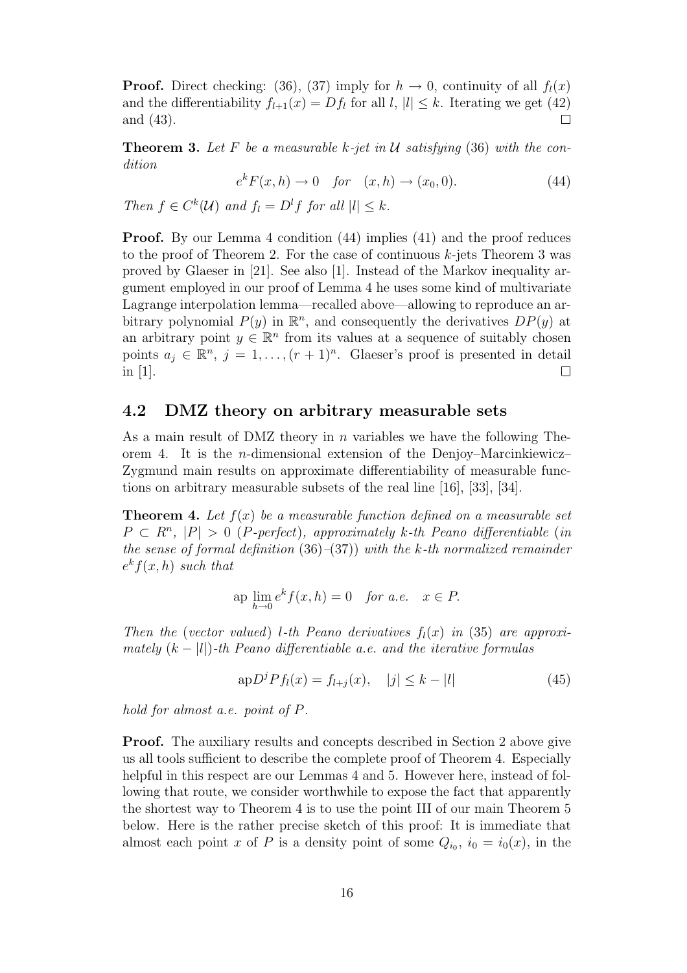**Proof.** Direct checking: (36), (37) imply for  $h \to 0$ , continuity of all  $f_l(x)$ and the differentiability  $f_{l+1}(x) = Df_l$  for all  $l, |l| \leq k$ . Iterating we get (42) and (43).

**Theorem 3.** Let F be a measurable k-jet in U satisfying (36) with the condition

$$
e^{k}F(x,h) \to 0 \quad \text{for} \quad (x,h) \to (x_0,0). \tag{44}
$$

Then  $f \in C^k(\mathcal{U})$  and  $f_l = D^l f$  for all  $|l| \leq k$ .

Proof. By our Lemma 4 condition (44) implies (41) and the proof reduces to the proof of Theorem 2. For the case of continuous  $k$ -jets Theorem 3 was proved by Glaeser in [21]. See also [1]. Instead of the Markov inequality argument employed in our proof of Lemma 4 he uses some kind of multivariate Lagrange interpolation lemma—recalled above—allowing to reproduce an arbitrary polynomial  $P(y)$  in  $\mathbb{R}^n$ , and consequently the derivatives  $DP(y)$  at an arbitrary point  $y \in \mathbb{R}^n$  from its values at a sequence of suitably chosen points  $a_j \in \mathbb{R}^n$ ,  $j = 1, ..., (r + 1)^n$ . Glaeser's proof is presented in detail in [1].  $\Box$ 

### 4.2 DMZ theory on arbitrary measurable sets

As a main result of DMZ theory in n variables we have the following Theorem 4. It is the *n*-dimensional extension of the Denjoy–Marcinkiewicz– Zygmund main results on approximate differentiability of measurable functions on arbitrary measurable subsets of the real line [16], [33], [34].

**Theorem 4.** Let  $f(x)$  be a measurable function defined on a measurable set  $P \subset R^n$ ,  $|P| > 0$  (P-perfect), approximately k-th Peano differentiable (in the sense of formal definition  $(36)$ – $(37)$ ) with the k-th normalized remainder  $e^{k}f(x,h)$  such that

$$
ap \lim_{h \to 0} e^k f(x, h) = 0 \quad \text{for a.e.} \quad x \in P.
$$

Then the (vector valued) l-th Peano derivatives  $f_l(x)$  in (35) are approximately  $(k - |l|)$ -th Peano differentiable a.e. and the iterative formulas

$$
\mathrm{ap}D^{j}Pf_{l}(x) = f_{l+j}(x), \quad |j| \le k - |l| \tag{45}
$$

hold for almost a.e. point of P.

Proof. The auxiliary results and concepts described in Section 2 above give us all tools sufficient to describe the complete proof of Theorem 4. Especially helpful in this respect are our Lemmas 4 and 5. However here, instead of following that route, we consider worthwhile to expose the fact that apparently the shortest way to Theorem 4 is to use the point III of our main Theorem 5 below. Here is the rather precise sketch of this proof: It is immediate that almost each point x of P is a density point of some  $Q_{i_0}$ ,  $i_0 = i_0(x)$ , in the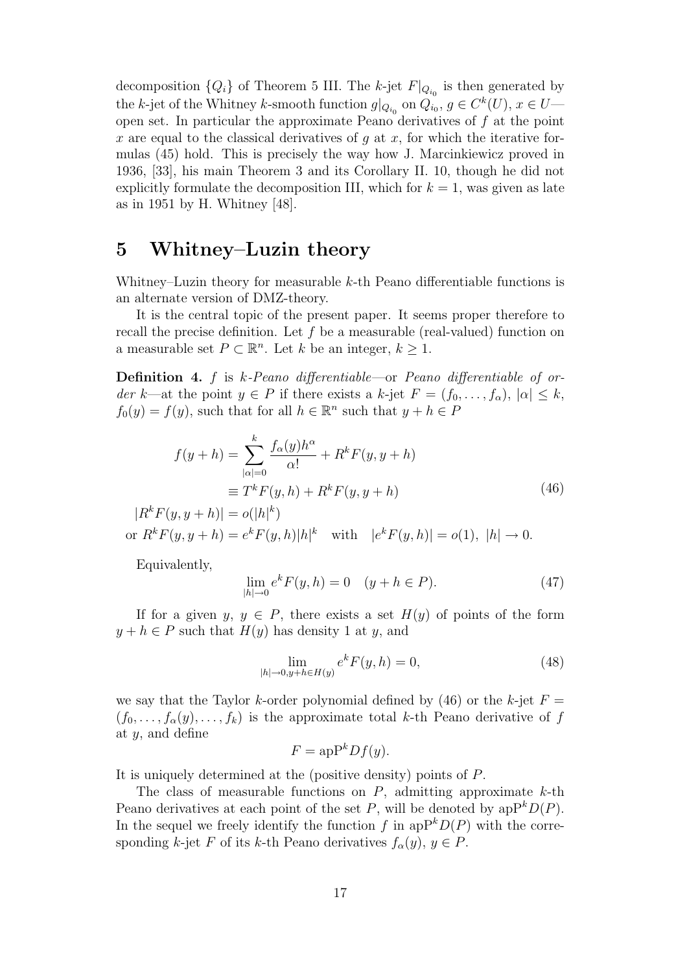decomposition  ${Q_i}$  of Theorem 5 III. The k-jet  $F|_{Q_{i_0}}$  is then generated by the k-jet of the Whitney k-smooth function  $g|_{Q_{i_0}}$  on  $Q_{i_0}, g \in C^k(U), x \in U$ open set. In particular the approximate Peano derivatives of  $f$  at the point x are equal to the classical derivatives of q at x, for which the iterative formulas (45) hold. This is precisely the way how J. Marcinkiewicz proved in 1936, [33], his main Theorem 3 and its Corollary II. 10, though he did not explicitly formulate the decomposition III, which for  $k = 1$ , was given as late as in 1951 by H. Whitney [48].

# 5 Whitney–Luzin theory

Whitney–Luzin theory for measurable k-th Peano differentiable functions is an alternate version of DMZ-theory.

It is the central topic of the present paper. It seems proper therefore to recall the precise definition. Let  $f$  be a measurable (real-valued) function on a measurable set  $P \subset \mathbb{R}^n$ . Let k be an integer,  $k \geq 1$ .

**Definition 4.** f is  $k$ -Peano differentiable—or Peano differentiable of order k—at the point  $y \in P$  if there exists a k-jet  $F = (f_0, \ldots, f_\alpha), |\alpha| \leq k$ ,  $f_0(y) = f(y)$ , such that for all  $h \in \mathbb{R}^n$  such that  $y + h \in P$ 

$$
f(y+h) = \sum_{|\alpha|=0}^{k} \frac{f_{\alpha}(y)h^{\alpha}}{\alpha!} + R^{k}F(y, y+h)
$$

$$
\equiv T^{k}F(y, h) + R^{k}F(y, y+h)
$$
(46)

 $|R^{k} F(y, y+h)| = o(|h|^{k})$ or  $R^k F(y, y + h) = e^k F(y, h) |h|^k$  with  $|e^k F(y, h)| = o(1), |h| \to 0.$ 

Equivalently,

$$
\lim_{|h| \to 0} e^k F(y, h) = 0 \quad (y + h \in P). \tag{47}
$$

If for a given  $y, y \in P$ , there exists a set  $H(y)$  of points of the form  $y + h \in P$  such that  $H(y)$  has density 1 at y, and

$$
\lim_{|h| \to 0, y + h \in H(y)} e^k F(y, h) = 0,
$$
\n(48)

we say that the Taylor k-order polynomial defined by (46) or the k-jet  $F =$  $(f_0,\ldots,f_\alpha(y),\ldots,f_k)$  is the approximate total k-th Peano derivative of f at  $y$ , and define

$$
F = \mathrm{apP}^k D f(y).
$$

It is uniquely determined at the (positive density) points of P.

The class of measurable functions on  $P$ , admitting approximate  $k$ -th Peano derivatives at each point of the set P, will be denoted by  $apP^kD(P)$ . In the sequel we freely identify the function f in  $apP^kD(P)$  with the corresponding k-jet F of its k-th Peano derivatives  $f_{\alpha}(y), y \in P$ .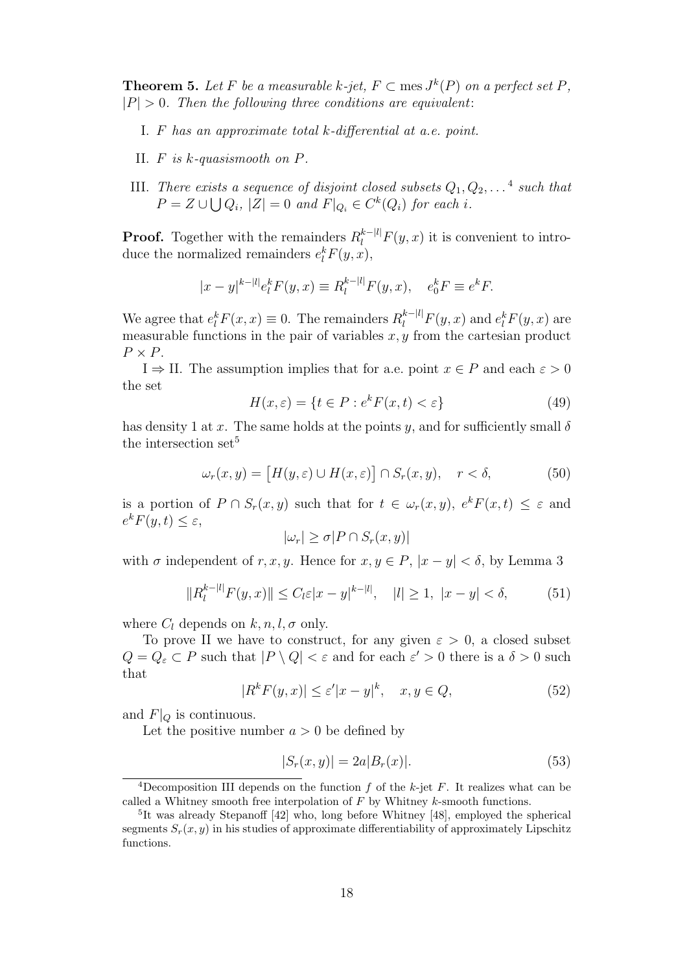**Theorem 5.** Let F be a measurable k-jet,  $F \subset \text{mes } J^k(P)$  on a perfect set P,  $|P| > 0$ . Then the following three conditions are equivalent:

- I. F has an approximate total k-differential at a.e. point.
- II. F is k-quasismooth on P.
- III. There exists a sequence of disjoint closed subsets  $Q_1, Q_2, \ldots^4$  such that  $P = Z \cup \bigcup Q_i$ ,  $|Z| = 0$  and  $F|_{Q_i} \in C^k(Q_i)$  for each i.

**Proof.** Together with the remainders  $R_l^{k-|l|} F(y, x)$  it is convenient to introduce the normalized remainders  $e_l^k F(y, x)$ ,

$$
|x - y|^{k - |l|} e_l^k F(y, x) \equiv R_l^{k - |l|} F(y, x), \quad e_0^k F \equiv e^k F.
$$

We agree that  $e_l^k F(x, x) \equiv 0$ . The remainders  $R_l^{k-|l|} F(y, x)$  and  $e_l^k F(y, x)$  are measurable functions in the pair of variables  $x, y$  from the cartesian product  $P \times P$ .

 $I \Rightarrow II$ . The assumption implies that for a.e. point  $x \in P$  and each  $\varepsilon > 0$ the set

$$
H(x,\varepsilon) = \{t \in P : e^k F(x,t) < \varepsilon\} \tag{49}
$$

has density 1 at x. The same holds at the points y, and for sufficiently small  $\delta$ the intersection set<sup>5</sup>

$$
\omega_r(x, y) = [H(y, \varepsilon) \cup H(x, \varepsilon)] \cap S_r(x, y), \quad r < \delta,
$$
 (50)

is a portion of  $P \cap S_r(x, y)$  such that for  $t \in \omega_r(x, y)$ ,  $e^k F(x, t) \leq \varepsilon$  and  $e^{k}F(y,t)\leq\varepsilon,$ 

$$
|\omega_r| \ge \sigma |P \cap S_r(x, y)|
$$

with  $\sigma$  independent of r, x, y. Hence for  $x, y \in P$ ,  $|x - y| < \delta$ , by Lemma 3

$$
||R_l^{k-|l|} F(y,x)|| \le C_l \varepsilon |x-y|^{k-|l|}, \quad |l| \ge 1, \ |x-y| < \delta,\tag{51}
$$

where  $C_l$  depends on  $k, n, l, \sigma$  only.

To prove II we have to construct, for any given  $\varepsilon > 0$ , a closed subset  $Q = Q_{\varepsilon} \subset P$  such that  $|P \setminus Q| < \varepsilon$  and for each  $\varepsilon' > 0$  there is a  $\delta > 0$  such that

$$
|R^k F(y, x)| \le \varepsilon' |x - y|^k, \quad x, y \in Q,
$$
\n<sup>(52)</sup>

and  $F|_Q$  is continuous.

Let the positive number  $a > 0$  be defined by

$$
|S_r(x,y)| = 2a|B_r(x)|.
$$
 (53)

<sup>&</sup>lt;sup>4</sup>Decomposition III depends on the function  $f$  of the  $k$ -jet  $F$ . It realizes what can be called a Whitney smooth free interpolation of  $F$  by Whitney  $k$ -smooth functions.

<sup>5</sup> It was already Stepanoff [42] who, long before Whitney [48], employed the spherical segments  $S_r(x, y)$  in his studies of approximate differentiability of approximately Lipschitz functions.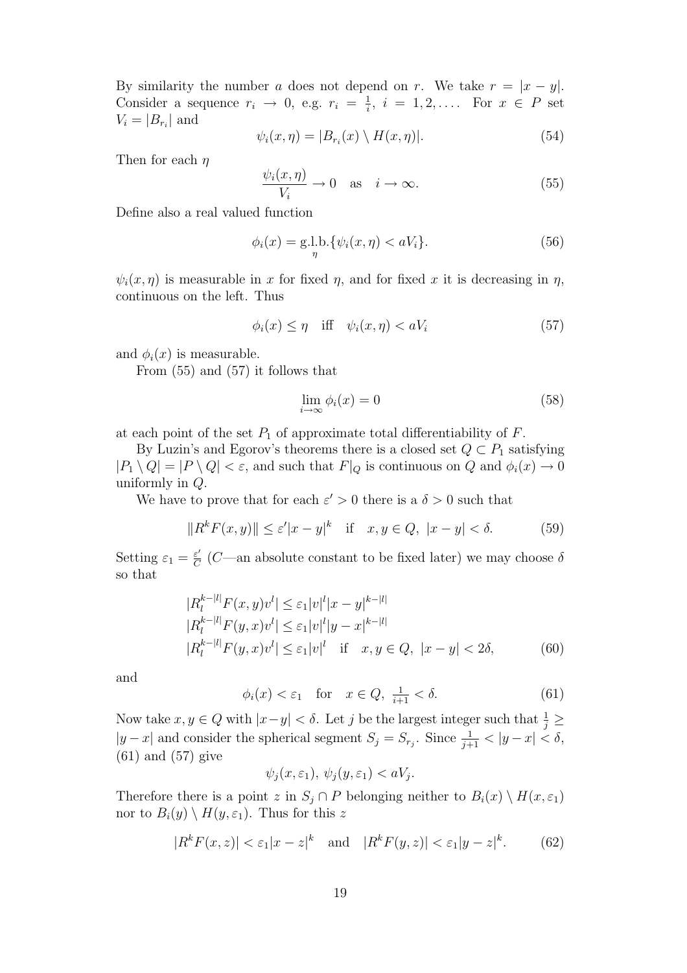By similarity the number a does not depend on r. We take  $r = |x - y|$ . Consider a sequence  $r_i \rightarrow 0$ , e.g.  $r_i = \frac{1}{i}$  $\frac{1}{i}$ ,  $i = 1, 2, \ldots$  For  $x \in P$  set  $V_i = |B_{r_i}|$  and

$$
\psi_i(x,\eta) = |B_{r_i}(x) \setminus H(x,\eta)|. \tag{54}
$$

Then for each  $\eta$ 

$$
\frac{\psi_i(x,\eta)}{V_i} \to 0 \quad \text{as} \quad i \to \infty. \tag{55}
$$

Define also a real valued function

$$
\phi_i(x) = \mathop{\rm g.l.b.}_{\eta} \{ \psi_i(x, \eta) < aV_i \}. \tag{56}
$$

 $\psi_i(x,\eta)$  is measurable in x for fixed  $\eta$ , and for fixed x it is decreasing in  $\eta$ , continuous on the left. Thus

$$
\phi_i(x) \le \eta \quad \text{iff} \quad \psi_i(x, \eta) < aV_i \tag{57}
$$

and  $\phi_i(x)$  is measurable.

From (55) and (57) it follows that

$$
\lim_{i \to \infty} \phi_i(x) = 0 \tag{58}
$$

at each point of the set  $P_1$  of approximate total differentiability of  $F$ .

By Luzin's and Egorov's theorems there is a closed set  $Q \subset P_1$  satisfying  $|P_1 \setminus Q| = |P \setminus Q| < \varepsilon$ , and such that  $F|_Q$  is continuous on Q and  $\phi_i(x) \to 0$ uniformly in Q.

We have to prove that for each  $\varepsilon' > 0$  there is a  $\delta > 0$  such that

$$
||R^k F(x, y)|| \le \varepsilon' |x - y|^k \quad \text{if} \quad x, y \in Q, \ |x - y| < \delta. \tag{59}
$$

Setting  $\varepsilon_1 = \frac{\varepsilon'}{C}$  $\frac{\varepsilon'}{C}$  (*C*—an absolute constant to be fixed later) we may choose  $\delta$ so that

$$
|R_l^{k-|l|} F(x, y)v^l| \leq \varepsilon_1 |v|^l |x - y|^{k-|l|}
$$
  
\n
$$
|R_l^{k-|l|} F(y, x)v^l| \leq \varepsilon_1 |v|^l |y - x|^{k-|l|}
$$
  
\n
$$
|R_l^{k-|l|} F(y, x)v^l| \leq \varepsilon_1 |v|^l \quad \text{if} \quad x, y \in Q, \ |x - y| < 2\delta,
$$
 (60)

and

$$
\phi_i(x) < \varepsilon_1 \quad \text{for} \quad x \in Q, \ \frac{1}{i+1} < \delta. \tag{61}
$$

Now take  $x, y \in Q$  with  $|x-y| < \delta$ . Let j be the largest integer such that  $\frac{1}{j} \geq$  $|y-x|$  and consider the spherical segment  $S_j = S_{r_j}$ . Since  $\frac{1}{j+1} < |y-x| < \delta$ , (61) and (57) give

$$
\psi_j(x,\varepsilon_1), \psi_j(y,\varepsilon_1) < aV_j.
$$

Therefore there is a point z in  $S_j \cap P$  belonging neither to  $B_i(x) \setminus H(x, \varepsilon_1)$ nor to  $B_i(y) \setminus H(y, \varepsilon_1)$ . Thus for this z

$$
|R^k F(x,z)| < \varepsilon_1 |x-z|^k \quad \text{and} \quad |R^k F(y,z)| < \varepsilon_1 |y-z|^k. \tag{62}
$$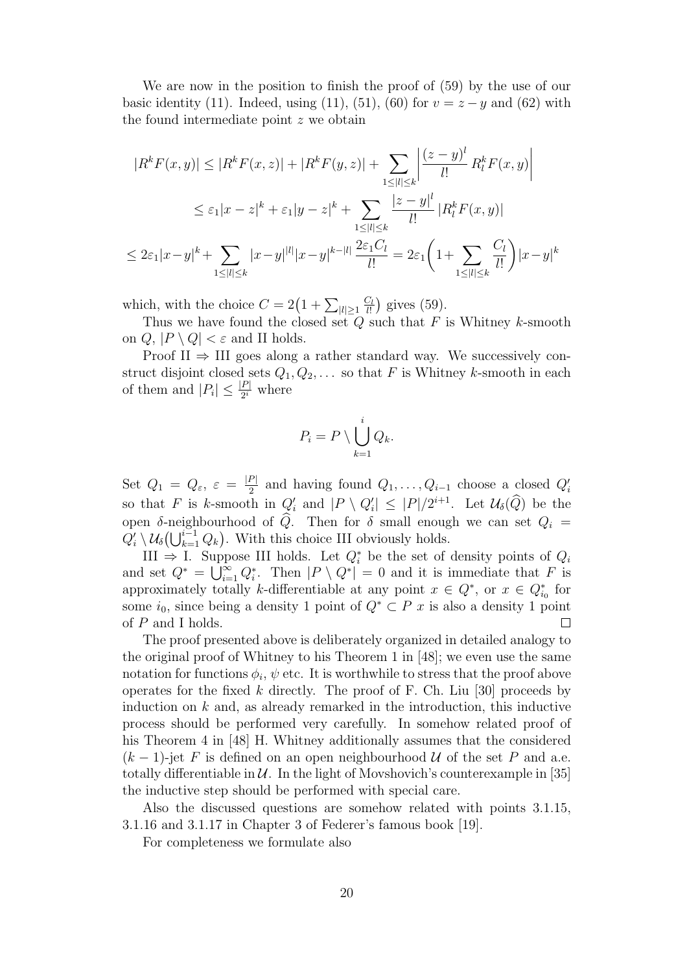We are now in the position to finish the proof of (59) by the use of our basic identity (11). Indeed, using (11), (51), (60) for  $v = z - y$  and (62) with the found intermediate point z we obtain

$$
|R^{k}F(x,y)| \leq |R^{k}F(x,z)| + |R^{k}F(y,z)| + \sum_{1 \leq |l| \leq k} \left| \frac{(z-y)^{l}}{l!} R_{l}^{k}F(x,y) \right|
$$
  

$$
\leq \varepsilon_{1}|x-z|^{k} + \varepsilon_{1}|y-z|^{k} + \sum_{1 \leq |l| \leq k} \frac{|z-y|^{l}}{l!} |R_{l}^{k}F(x,y)|
$$
  

$$
\leq 2\varepsilon_{1}|x-y|^{k} + \sum_{1 \leq |l| \leq k} |x-y|^{|l|} |x-y|^{k-|l|} \frac{2\varepsilon_{1}C_{l}}{l!} = 2\varepsilon_{1} \left(1 + \sum_{1 \leq |l| \leq k} \frac{C_{l}}{l!} \right) |x-y|^{k}
$$

which, with the choice  $C = 2(1 + \sum_{|l| \ge 1}$  $C_l$  $\frac{C_l}{l!}$ ) gives (59).

Thus we have found the closed set  $Q$  such that  $F$  is Whitney  $k$ -smooth on  $Q, |P \setminus Q| < \varepsilon$  and II holds.

Proof II  $\Rightarrow$  III goes along a rather standard way. We successively construct disjoint closed sets  $Q_1, Q_2, \ldots$  so that F is Whitney k-smooth in each of them and  $|P_i| \leq \frac{|P|}{2^i}$  where

$$
P_i = P \setminus \bigcup_{k=1}^i Q_k.
$$

Set  $Q_1 = Q_{\varepsilon}, \varepsilon = \frac{|P|}{2}$  and having found  $Q_1, \ldots, Q_{i-1}$  choose a closed  $Q'_i$ so that F is k-smooth in  $Q'_i$  and  $|P \setminus Q'_i| \leq |P|/2^{i+1}$ . Let  $\mathcal{U}_{\delta}(\widehat{Q})$  be the open  $\delta$ -neighbourhood of Q. Then for  $\delta$  small enough we can set  $Q_i =$  $Q'_i \setminus \mathcal{U}_{\delta}(\bigcup_{k=1}^{i-1} Q_k)$ . With this choice III obviously holds.

III  $\Rightarrow$  I. Suppose III holds. Let  $Q_i^*$  be the set of density points of  $Q_i$ and set  $Q^* = \bigcup_{i=1}^{\infty} Q_i^*$ . Then  $|P \setminus Q^*| = 0$  and it is immediate that F is approximately totally k-differentiable at any point  $x \in Q^*$ , or  $x \in Q^*_{i_0}$  for some  $i_0$ , since being a density 1 point of  $Q^* \subset P$  x is also a density 1 point of  $P$  and I holds.  $\Box$ 

The proof presented above is deliberately organized in detailed analogy to the original proof of Whitney to his Theorem 1 in [48]; we even use the same notation for functions  $\phi_i$ ,  $\psi$  etc. It is worthwhile to stress that the proof above operates for the fixed k directly. The proof of F. Ch. Liu [30] proceeds by induction on  $k$  and, as already remarked in the introduction, this inductive process should be performed very carefully. In somehow related proof of his Theorem 4 in [48] H. Whitney additionally assumes that the considered  $(k-1)$ -jet F is defined on an open neighbourhood U of the set P and a.e. totally differentiable in  $U$ . In the light of Movshovich's counterexample in [35] the inductive step should be performed with special care.

Also the discussed questions are somehow related with points 3.1.15, 3.1.16 and 3.1.17 in Chapter 3 of Federer's famous book [19].

For completeness we formulate also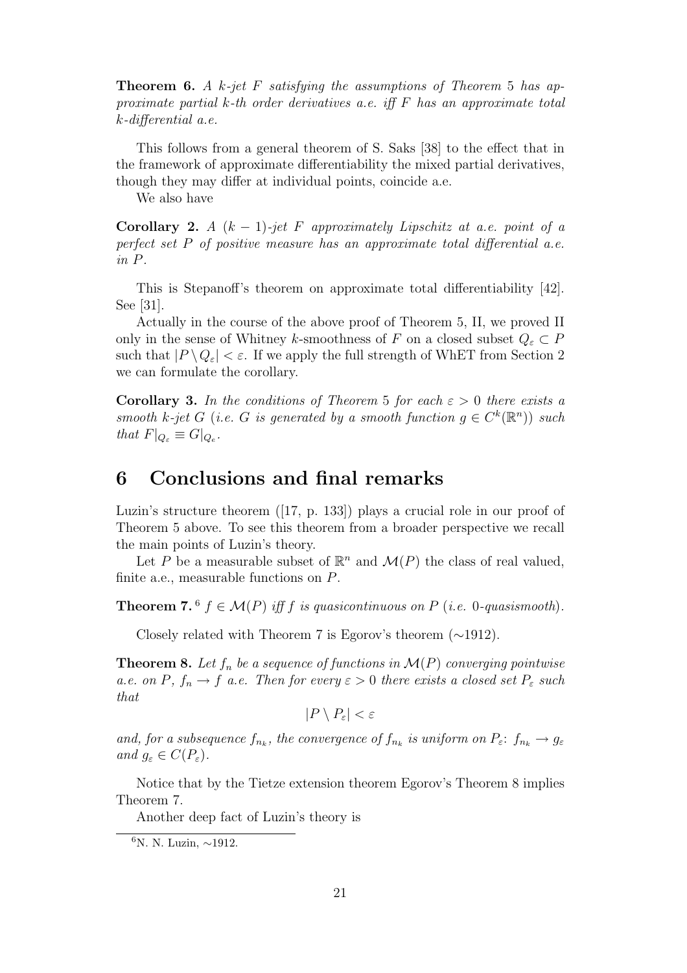**Theorem 6.** A k-jet F satisfying the assumptions of Theorem 5 has approximate partial k-th order derivatives a.e. iff  $F$  has an approximate total k-differential a.e.

This follows from a general theorem of S. Saks [38] to the effect that in the framework of approximate differentiability the mixed partial derivatives, though they may differ at individual points, coincide a.e.

We also have

Corollary 2. A  $(k-1)$ -jet F approximately Lipschitz at a.e. point of a perfect set P of positive measure has an approximate total differential a.e. in P.

This is Stepanoff's theorem on approximate total differentiability [42]. See [31].

Actually in the course of the above proof of Theorem 5, II, we proved II only in the sense of Whitney k-smoothness of F on a closed subset  $Q_{\varepsilon} \subset P$ such that  $|P \setminus Q_{\varepsilon}| < \varepsilon$ . If we apply the full strength of WhET from Section 2 we can formulate the corollary.

**Corollary 3.** In the conditions of Theorem 5 for each  $\varepsilon > 0$  there exists a smooth k-jet G (i.e. G is generated by a smooth function  $g \in C^k(\mathbb{R}^n)$ ) such that  $F|_{Q_{\varepsilon}} \equiv G|_{Q_{\varepsilon}}$ .

## 6 Conclusions and final remarks

Luzin's structure theorem ([17, p. 133]) plays a crucial role in our proof of Theorem 5 above. To see this theorem from a broader perspective we recall the main points of Luzin's theory.

Let P be a measurable subset of  $\mathbb{R}^n$  and  $\mathcal{M}(P)$  the class of real valued, finite a.e., measurable functions on P.

**Theorem 7.**  $^6$   $f \in \mathcal{M}(P)$  iff  $f$  is quasicontinuous on  $P$  (i.e. 0-quasismooth).

Closely related with Theorem 7 is Egorov's theorem (∼1912).

**Theorem 8.** Let  $f_n$  be a sequence of functions in  $\mathcal{M}(P)$  converging pointwise a.e. on P,  $f_n \to f$  a.e. Then for every  $\varepsilon > 0$  there exists a closed set  $P_{\varepsilon}$  such that

$$
|P \setminus P_{\varepsilon}| < \varepsilon
$$

and, for a subsequence  $f_{n_k}$ , the convergence of  $f_{n_k}$  is uniform on  $P_{\varepsilon}: f_{n_k} \to g_{\varepsilon}$ and  $g_{\varepsilon} \in C(P_{\varepsilon}).$ 

Notice that by the Tietze extension theorem Egorov's Theorem 8 implies Theorem 7.

Another deep fact of Luzin's theory is

<sup>6</sup>N. N. Luzin, ∼1912.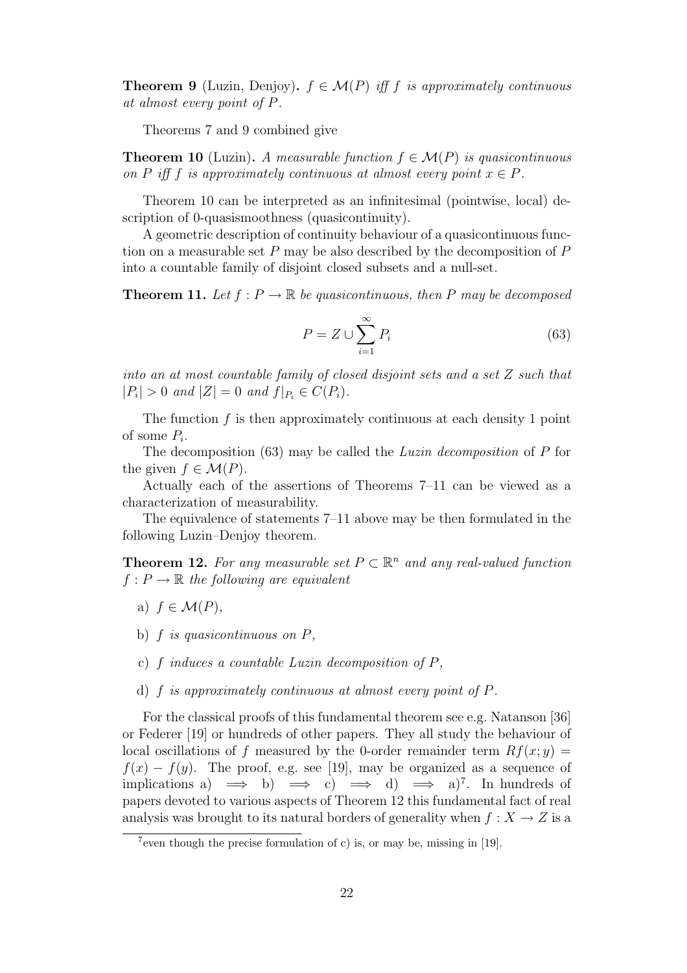**Theorem 9** (Luzin, Denjoy).  $f \in \mathcal{M}(P)$  iff f is approximately continuous at almost every point of P.

Theorems 7 and 9 combined give

**Theorem 10** (Luzin). A measurable function  $f \in \mathcal{M}(P)$  is quasicontinuous on P iff f is approximately continuous at almost every point  $x \in P$ .

Theorem 10 can be interpreted as an infinitesimal (pointwise, local) description of 0-quasismoothness (quasicontinuity).

A geometric description of continuity behaviour of a quasicontinuous function on a measurable set  $P$  may be also described by the decomposition of  $P$ into a countable family of disjoint closed subsets and a null-set.

**Theorem 11.** Let  $f : P \to \mathbb{R}$  be quasicontinuous, then P may be decomposed

$$
P = Z \cup \sum_{i=1}^{\infty} P_i \tag{63}
$$

into an at most countable family of closed disjoint sets and a set Z such that  $|P_i| > 0$  and  $|Z| = 0$  and  $f|_{P_i} \in C(P_i)$ .

The function  $f$  is then approximately continuous at each density 1 point of some  $P_i$ .

The decomposition (63) may be called the Luzin decomposition of P for the given  $f \in \mathcal{M}(P)$ .

Actually each of the assertions of Theorems 7–11 can be viewed as a characterization of measurability.

The equivalence of statements 7–11 above may be then formulated in the following Luzin–Denjoy theorem.

**Theorem 12.** For any measurable set  $P \subset \mathbb{R}^n$  and any real-valued function  $f: P \to \mathbb{R}$  the following are equivalent

- a)  $f \in \mathcal{M}(P)$ ,
- b)  $f$  is quasicontinuous on  $P$ ,
- c)  $f$  induces a countable Luzin decomposition of  $P$ ,
- d) f is approximately continuous at almost every point of P.

For the classical proofs of this fundamental theorem see e.g. Natanson [36] or Federer [19] or hundreds of other papers. They all study the behaviour of local oscillations of f measured by the 0-order remainder term  $Rf(x; y) =$  $f(x) - f(y)$ . The proof, e.g. see [19], may be organized as a sequence of implications a)  $\implies$  b)  $\implies$  c)  $\implies$  d)  $\implies$  a)<sup>7</sup>. In hundreds of papers devoted to various aspects of Theorem 12 this fundamental fact of real analysis was brought to its natural borders of generality when  $f: X \to Z$  is a

<sup>&</sup>lt;sup>7</sup>even though the precise formulation of c) is, or may be, missing in  $[19]$ .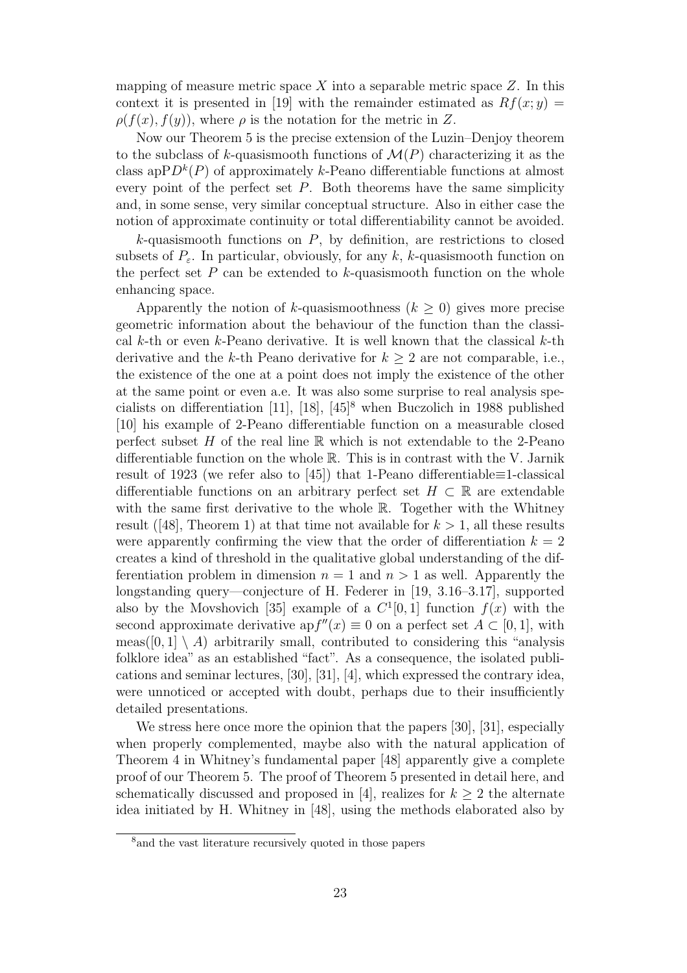mapping of measure metric space X into a separable metric space  $Z$ . In this context it is presented in [19] with the remainder estimated as  $Rf(x; y) =$  $\rho(f(x),f(y))$ , where  $\rho$  is the notation for the metric in Z.

Now our Theorem 5 is the precise extension of the Luzin–Denjoy theorem to the subclass of k-quasismooth functions of  $\mathcal{M}(P)$  characterizing it as the class ap $PD^k(P)$  of approximately k-Peano differentiable functions at almost every point of the perfect set  $P$ . Both theorems have the same simplicity and, in some sense, very similar conceptual structure. Also in either case the notion of approximate continuity or total differentiability cannot be avoided.

 $k$ -quasismooth functions on  $P$ , by definition, are restrictions to closed subsets of  $P_{\varepsilon}$ . In particular, obviously, for any k, k-quasismooth function on the perfect set  $P$  can be extended to  $k$ -quasismooth function on the whole enhancing space.

Apparently the notion of k-quasismoothness  $(k \geq 0)$  gives more precise geometric information about the behaviour of the function than the classical k-th or even k-Peano derivative. It is well known that the classical k-th derivative and the k-th Peano derivative for  $k \geq 2$  are not comparable, i.e., the existence of the one at a point does not imply the existence of the other at the same point or even a.e. It was also some surprise to real analysis specialists on differentiation  $[11]$ ,  $[18]$ ,  $[45]$ <sup>8</sup> when Buczolich in 1988 published [10] his example of 2-Peano differentiable function on a measurable closed perfect subset H of the real line  $\mathbb R$  which is not extendable to the 2-Peano differentiable function on the whole R. This is in contrast with the V. Jarnik result of 1923 (we refer also to [45]) that 1-Peano differentiable≡1-classical differentiable functions on an arbitrary perfect set  $H \subset \mathbb{R}$  are extendable with the same first derivative to the whole R. Together with the Whitney result ([48], Theorem 1) at that time not available for  $k > 1$ , all these results were apparently confirming the view that the order of differentiation  $k = 2$ creates a kind of threshold in the qualitative global understanding of the differentiation problem in dimension  $n = 1$  and  $n > 1$  as well. Apparently the longstanding query—conjecture of H. Federer in [19, 3.16–3.17], supported also by the Movshovich [35] example of a  $C^1[0,1]$  function  $f(x)$  with the second approximate derivative ap $f''(x) \equiv 0$  on a perfect set  $A \subset [0,1]$ , with meas([0, 1] \ A) arbitrarily small, contributed to considering this "analysis folklore idea" as an established "fact". As a consequence, the isolated publications and seminar lectures, [30], [31], [4], which expressed the contrary idea, were unnoticed or accepted with doubt, perhaps due to their insufficiently detailed presentations.

We stress here once more the opinion that the papers [30], [31], especially when properly complemented, maybe also with the natural application of Theorem 4 in Whitney's fundamental paper [48] apparently give a complete proof of our Theorem 5. The proof of Theorem 5 presented in detail here, and schematically discussed and proposed in [4], realizes for  $k \geq 2$  the alternate idea initiated by H. Whitney in [48], using the methods elaborated also by

<sup>&</sup>lt;sup>8</sup> and the vast literature recursively quoted in those papers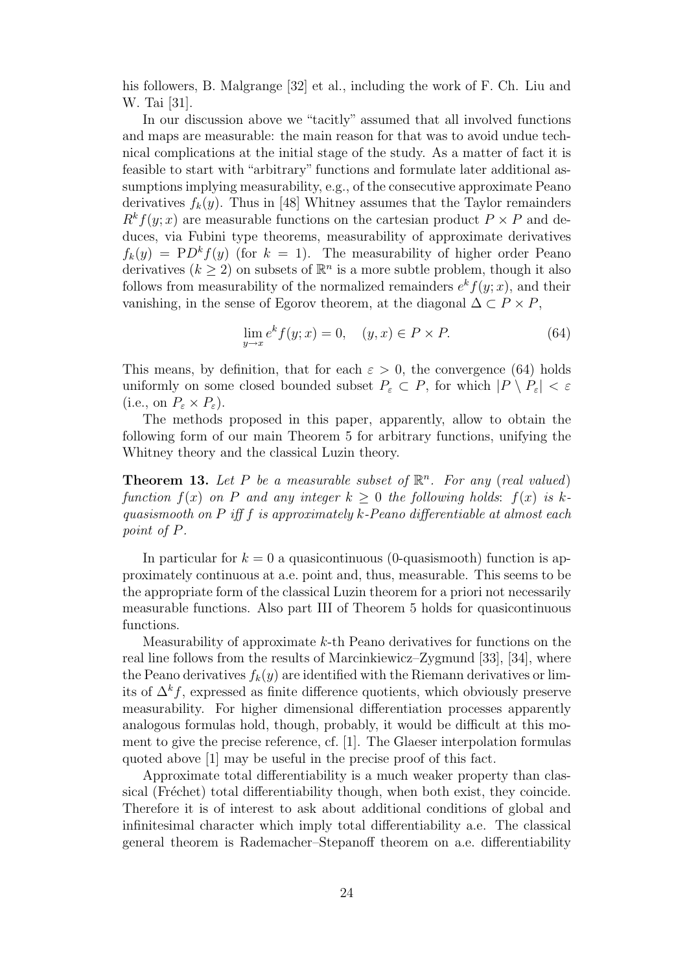his followers, B. Malgrange [32] et al., including the work of F. Ch. Liu and W. Tai [31].

In our discussion above we "tacitly" assumed that all involved functions and maps are measurable: the main reason for that was to avoid undue technical complications at the initial stage of the study. As a matter of fact it is feasible to start with "arbitrary" functions and formulate later additional assumptions implying measurability, e.g., of the consecutive approximate Peano derivatives  $f_k(y)$ . Thus in [48] Whitney assumes that the Taylor remainders  $R^k f(y; x)$  are measurable functions on the cartesian product  $P \times P$  and deduces, via Fubini type theorems, measurability of approximate derivatives  $f_k(y) = P D^k f(y)$  (for  $k = 1$ ). The measurability of higher order Peano derivatives  $(k \geq 2)$  on subsets of  $\mathbb{R}^n$  is a more subtle problem, though it also follows from measurability of the normalized remainders  $e^{k} f(y; x)$ , and their vanishing, in the sense of Egorov theorem, at the diagonal  $\Delta \subset P \times P$ ,

$$
\lim_{y \to x} e^k f(y; x) = 0, \quad (y, x) \in P \times P. \tag{64}
$$

This means, by definition, that for each  $\varepsilon > 0$ , the convergence (64) holds uniformly on some closed bounded subset  $P_{\varepsilon} \subset P$ , for which  $|P \setminus P_{\varepsilon}| < \varepsilon$ (i.e., on  $P_{\varepsilon} \times P_{\varepsilon}$ ).

The methods proposed in this paper, apparently, allow to obtain the following form of our main Theorem 5 for arbitrary functions, unifying the Whitney theory and the classical Luzin theory.

**Theorem 13.** Let P be a measurable subset of  $\mathbb{R}^n$ . For any (real valued) function  $f(x)$  on P and any integer  $k > 0$  the following holds:  $f(x)$  is kquasismooth on  $P$  iff  $f$  is approximately  $k$ -Peano differentiable at almost each point of P.

In particular for  $k = 0$  a quasicontinuous (0-quasismooth) function is approximately continuous at a.e. point and, thus, measurable. This seems to be the appropriate form of the classical Luzin theorem for a priori not necessarily measurable functions. Also part III of Theorem 5 holds for quasicontinuous functions.

Measurability of approximate k-th Peano derivatives for functions on the real line follows from the results of Marcinkiewicz–Zygmund [33], [34], where the Peano derivatives  $f_k(y)$  are identified with the Riemann derivatives or limits of  $\Delta^k f$ , expressed as finite difference quotients, which obviously preserve measurability. For higher dimensional differentiation processes apparently analogous formulas hold, though, probably, it would be difficult at this moment to give the precise reference, cf. [1]. The Glaeser interpolation formulas quoted above [1] may be useful in the precise proof of this fact.

Approximate total differentiability is a much weaker property than classical (Fréchet) total differentiability though, when both exist, they coincide. Therefore it is of interest to ask about additional conditions of global and infinitesimal character which imply total differentiability a.e. The classical general theorem is Rademacher–Stepanoff theorem on a.e. differentiability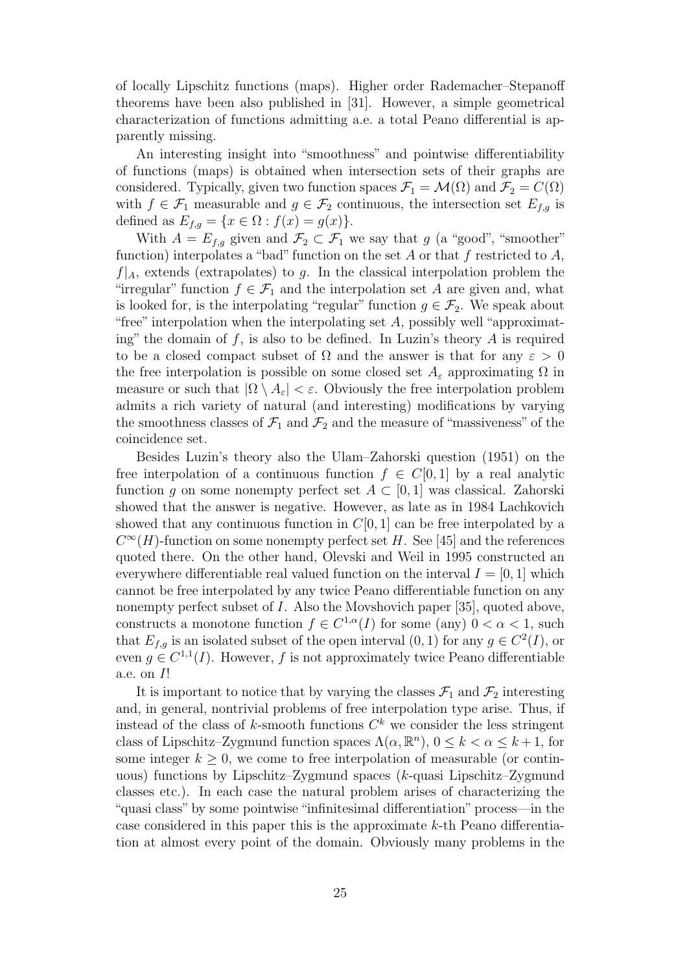of locally Lipschitz functions (maps). Higher order Rademacher–Stepanoff theorems have been also published in [31]. However, a simple geometrical characterization of functions admitting a.e. a total Peano differential is apparently missing.

An interesting insight into "smoothness" and pointwise differentiability of functions (maps) is obtained when intersection sets of their graphs are considered. Typically, given two function spaces  $\mathcal{F}_1 = \mathcal{M}(\Omega)$  and  $\mathcal{F}_2 = C(\Omega)$ with  $f \in \mathcal{F}_1$  measurable and  $g \in \mathcal{F}_2$  continuous, the intersection set  $E_{f,g}$  is defined as  $E_{f,q} = \{x \in \Omega : f(x) = g(x)\}.$ 

With  $A = E_{f,g}$  given and  $\mathcal{F}_2 \subset \mathcal{F}_1$  we say that g (a "good", "smoother" function) interpolates a "bad" function on the set A or that f restricted to  $A$ ,  $f|_A$ , extends (extrapolates) to g. In the classical interpolation problem the "irregular" function  $f \in \mathcal{F}_1$  and the interpolation set A are given and, what is looked for, is the interpolating "regular" function  $g \in \mathcal{F}_2$ . We speak about "free" interpolation when the interpolating set  $A$ , possibly well "approximating" the domain of f, is also to be defined. In Luzin's theory  $A$  is required to be a closed compact subset of  $\Omega$  and the answer is that for any  $\varepsilon > 0$ the free interpolation is possible on some closed set  $A_{\varepsilon}$  approximating  $\Omega$  in measure or such that  $|\Omega \setminus A_{\varepsilon}| < \varepsilon$ . Obviously the free interpolation problem admits a rich variety of natural (and interesting) modifications by varying the smoothness classes of  $\mathcal{F}_1$  and  $\mathcal{F}_2$  and the measure of "massiveness" of the coincidence set.

Besides Luzin's theory also the Ulam–Zahorski question (1951) on the free interpolation of a continuous function  $f \in C[0, 1]$  by a real analytic function q on some nonempty perfect set  $A \subset [0,1]$  was classical. Zahorski showed that the answer is negative. However, as late as in 1984 Lachkovich showed that any continuous function in  $C[0, 1]$  can be free interpolated by a  $C^{\infty}(H)$ -function on some nonempty perfect set H. See [45] and the references quoted there. On the other hand, Olevski and Weil in 1995 constructed an everywhere differentiable real valued function on the interval  $I = [0, 1]$  which cannot be free interpolated by any twice Peano differentiable function on any nonempty perfect subset of I. Also the Movshovich paper [35], quoted above, constructs a monotone function  $f \in C^{1,\alpha}(I)$  for some (any)  $0 < \alpha < 1$ , such that  $E_{f,g}$  is an isolated subset of the open interval  $(0, 1)$  for any  $g \in C^2(I)$ , or even  $g \in C^{1,1}(I)$ . However, f is not approximately twice Peano differentiable a.e. on I!

It is important to notice that by varying the classes  $\mathcal{F}_1$  and  $\mathcal{F}_2$  interesting and, in general, nontrivial problems of free interpolation type arise. Thus, if instead of the class of k-smooth functions  $C<sup>k</sup>$  we consider the less stringent class of Lipschitz–Zygmund function spaces  $\Lambda(\alpha, \mathbb{R}^n)$ ,  $0 \le k < \alpha \le k+1$ , for some integer  $k \geq 0$ , we come to free interpolation of measurable (or continuous) functions by Lipschitz–Zygmund spaces (k-quasi Lipschitz–Zygmund classes etc.). In each case the natural problem arises of characterizing the "quasi class"by some pointwise"infinitesimal differentiation"process—in the case considered in this paper this is the approximate k-th Peano differentiation at almost every point of the domain. Obviously many problems in the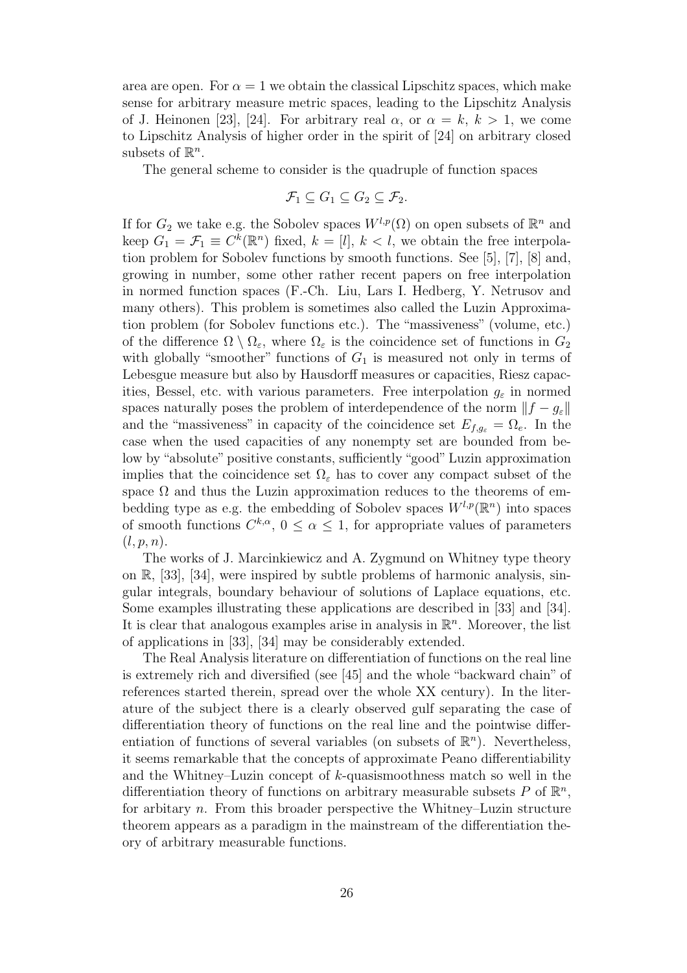area are open. For  $\alpha = 1$  we obtain the classical Lipschitz spaces, which make sense for arbitrary measure metric spaces, leading to the Lipschitz Analysis of J. Heinonen [23], [24]. For arbitrary real  $\alpha$ , or  $\alpha = k, k > 1$ , we come to Lipschitz Analysis of higher order in the spirit of [24] on arbitrary closed subsets of  $\mathbb{R}^n$ .

The general scheme to consider is the quadruple of function spaces

$$
\mathcal{F}_1 \subseteq G_1 \subseteq G_2 \subseteq \mathcal{F}_2.
$$

If for  $G_2$  we take e.g. the Sobolev spaces  $W^{l,p}(\Omega)$  on open subsets of  $\mathbb{R}^n$  and keep  $G_1 = \mathcal{F}_1 \equiv C^k(\mathbb{R}^n)$  fixed,  $k = [l], k < l$ , we obtain the free interpolation problem for Sobolev functions by smooth functions. See [5], [7], [8] and, growing in number, some other rather recent papers on free interpolation in normed function spaces (F.-Ch. Liu, Lars I. Hedberg, Y. Netrusov and many others). This problem is sometimes also called the Luzin Approximation problem (for Sobolev functions etc.). The "massiveness" (volume, etc.) of the difference  $\Omega \setminus \Omega_{\varepsilon}$ , where  $\Omega_{\varepsilon}$  is the coincidence set of functions in  $G_2$ with globally "smoother" functions of  $G_1$  is measured not only in terms of Lebesgue measure but also by Hausdorff measures or capacities, Riesz capacities, Bessel, etc. with various parameters. Free interpolation  $q_{\varepsilon}$  in normed spaces naturally poses the problem of interdependence of the norm  $||f - g_{\varepsilon}||$ and the "massiveness" in capacity of the coincidence set  $E_{f,g_{\varepsilon}} = \Omega_e$ . In the case when the used capacities of any nonempty set are bounded from below by "absolute" positive constants, sufficiently "good" Luzin approximation implies that the coincidence set  $\Omega_{\varepsilon}$  has to cover any compact subset of the space  $\Omega$  and thus the Luzin approximation reduces to the theorems of embedding type as e.g. the embedding of Sobolev spaces  $W^{l,p}(\mathbb{R}^n)$  into spaces of smooth functions  $C^{k,\alpha}$ ,  $0 \leq \alpha \leq 1$ , for appropriate values of parameters  $(l,p,n).$ 

The works of J. Marcinkiewicz and A. Zygmund on Whitney type theory on R, [33], [34], were inspired by subtle problems of harmonic analysis, singular integrals, boundary behaviour of solutions of Laplace equations, etc. Some examples illustrating these applications are described in [33] and [34]. It is clear that analogous examples arise in analysis in  $\mathbb{R}^n$ . Moreover, the list of applications in [33], [34] may be considerably extended.

The Real Analysis literature on differentiation of functions on the real line is extremely rich and diversified (see [45] and the whole "backward chain" of references started therein, spread over the whole XX century). In the literature of the subject there is a clearly observed gulf separating the case of differentiation theory of functions on the real line and the pointwise differentiation of functions of several variables (on subsets of  $\mathbb{R}^n$ ). Nevertheless, it seems remarkable that the concepts of approximate Peano differentiability and the Whitney–Luzin concept of k-quasismoothness match so well in the differentiation theory of functions on arbitrary measurable subsets P of  $\mathbb{R}^n$ , for arbitary n. From this broader perspective the Whitney–Luzin structure theorem appears as a paradigm in the mainstream of the differentiation theory of arbitrary measurable functions.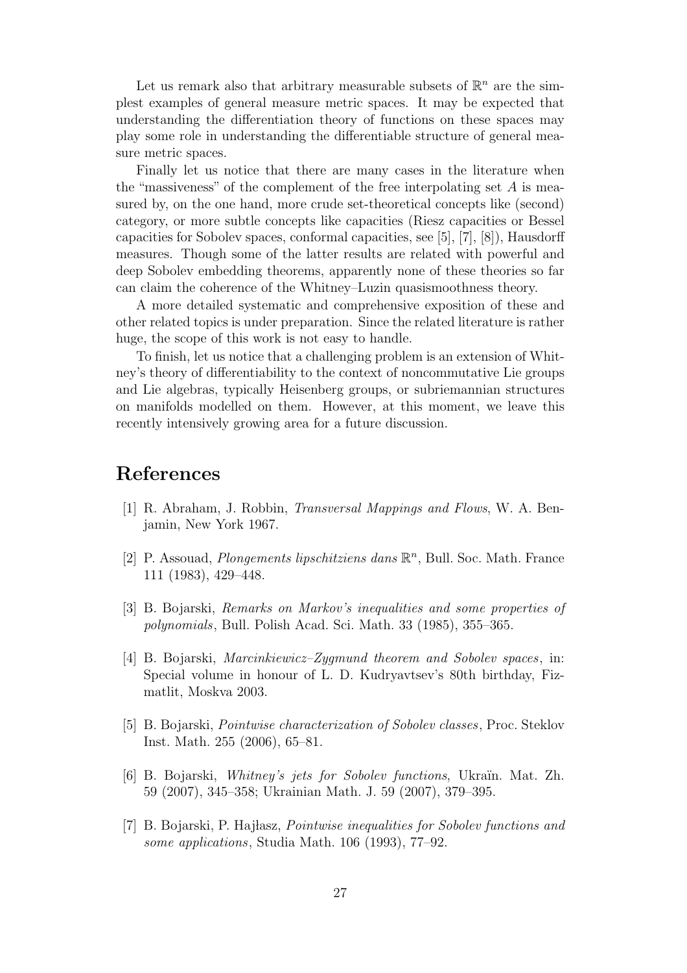Let us remark also that arbitrary measurable subsets of  $\mathbb{R}^n$  are the simplest examples of general measure metric spaces. It may be expected that understanding the differentiation theory of functions on these spaces may play some role in understanding the differentiable structure of general measure metric spaces.

Finally let us notice that there are many cases in the literature when the "massiveness" of the complement of the free interpolating set  $A$  is measured by, on the one hand, more crude set-theoretical concepts like (second) category, or more subtle concepts like capacities (Riesz capacities or Bessel capacities for Sobolev spaces, conformal capacities, see [5], [7], [8]), Hausdorff measures. Though some of the latter results are related with powerful and deep Sobolev embedding theorems, apparently none of these theories so far can claim the coherence of the Whitney–Luzin quasismoothness theory.

A more detailed systematic and comprehensive exposition of these and other related topics is under preparation. Since the related literature is rather huge, the scope of this work is not easy to handle.

To finish, let us notice that a challenging problem is an extension of Whitney's theory of differentiability to the context of noncommutative Lie groups and Lie algebras, typically Heisenberg groups, or subriemannian structures on manifolds modelled on them. However, at this moment, we leave this recently intensively growing area for a future discussion.

## References

- [1] R. Abraham, J. Robbin, Transversal Mappings and Flows, W. A. Benjamin, New York 1967.
- [2] P. Assouad, *Plongements lipschitziens dans*  $\mathbb{R}^n$ , Bull. Soc. Math. France 111 (1983), 429–448.
- [3] B. Bojarski, Remarks on Markov's inequalities and some properties of polynomials, Bull. Polish Acad. Sci. Math. 33 (1985), 355–365.
- [4] B. Bojarski, Marcinkiewicz–Zygmund theorem and Sobolev spaces, in: Special volume in honour of L. D. Kudryavtsev's 80th birthday, Fizmatlit, Moskva 2003.
- [5] B. Bojarski, Pointwise characterization of Sobolev classes, Proc. Steklov Inst. Math. 255 (2006), 65–81.
- [6] B. Bojarski, *Whitney's jets for Sobolev functions*, Ukraïn. Mat. Zh. 59 (2007), 345–358; Ukrainian Math. J. 59 (2007), 379–395.
- [7] B. Bojarski, P. Hajlasz, *Pointwise inequalities for Sobolev functions and* some applications, Studia Math. 106 (1993), 77–92.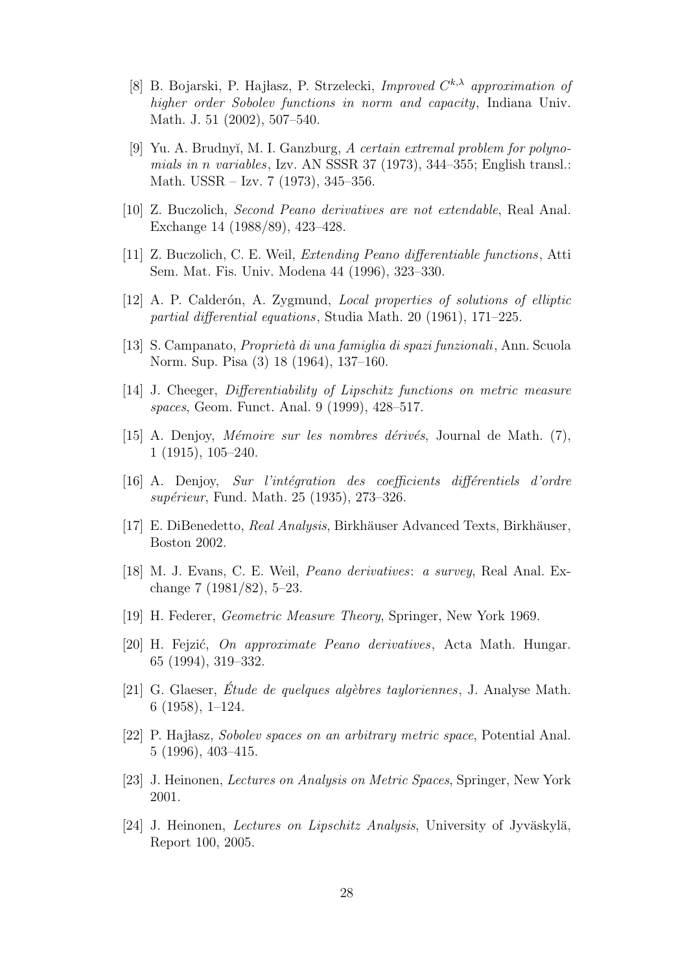- [8] B. Bojarski, P. Hajłasz, P. Strzelecki, Improved  $C^{k,\lambda}$  approximation of higher order Sobolev functions in norm and capacity, Indiana Univ. Math. J. 51 (2002), 507–540.
- [9] Yu. A. Brudnyĭ, M. I. Ganzburg, A certain extremal problem for polynomials in n variables, Izv. AN SSSR 37 (1973), 344–355; English transl.: Math. USSR – Izv. 7 (1973), 345–356.
- [10] Z. Buczolich, Second Peano derivatives are not extendable, Real Anal. Exchange 14 (1988/89), 423–428.
- [11] Z. Buczolich, C. E. Weil, Extending Peano differentiable functions, Atti Sem. Mat. Fis. Univ. Modena 44 (1996), 323–330.
- [12] A. P. Calderón, A. Zygmund, *Local properties of solutions of elliptic* partial differential equations, Studia Math. 20 (1961), 171–225.
- [13] S. Campanato, Propriet`a di una famiglia di spazi funzionali, Ann. Scuola Norm. Sup. Pisa (3) 18 (1964), 137–160.
- [14] J. Cheeger, Differentiability of Lipschitz functions on metric measure spaces, Geom. Funct. Anal. 9 (1999), 428–517.
- [15] A. Denjoy, *Mémoire sur les nombres dérivés*, Journal de Math. (7), 1 (1915), 105–240.
- $[16]$  A. Denjoy, Sur l'intégration des coefficients différentiels d'ordre supérieur, Fund. Math. 25 (1935), 273-326.
- [17] E. DiBenedetto, Real Analysis, Birkhäuser Advanced Texts, Birkhäuser, Boston 2002.
- [18] M. J. Evans, C. E. Weil, Peano derivatives: a survey, Real Anal. Exchange 7 (1981/82), 5–23.
- [19] H. Federer, Geometric Measure Theory, Springer, New York 1969.
- [20] H. Fejzić, *On approximate Peano derivatives*, Acta Math. Hungar. 65 (1994), 319–332.
- [21] G. Glaeser, Etude de quelques algèbres tayloriennes, J. Analyse Math. 6 (1958), 1–124.
- [22] P. Hajlasz, Sobolev spaces on an arbitrary metric space, Potential Anal. 5 (1996), 403–415.
- [23] J. Heinonen, Lectures on Analysis on Metric Spaces, Springer, New York 2001.
- [24] J. Heinonen, *Lectures on Lipschitz Analysis*, University of Jyväskylä, Report 100, 2005.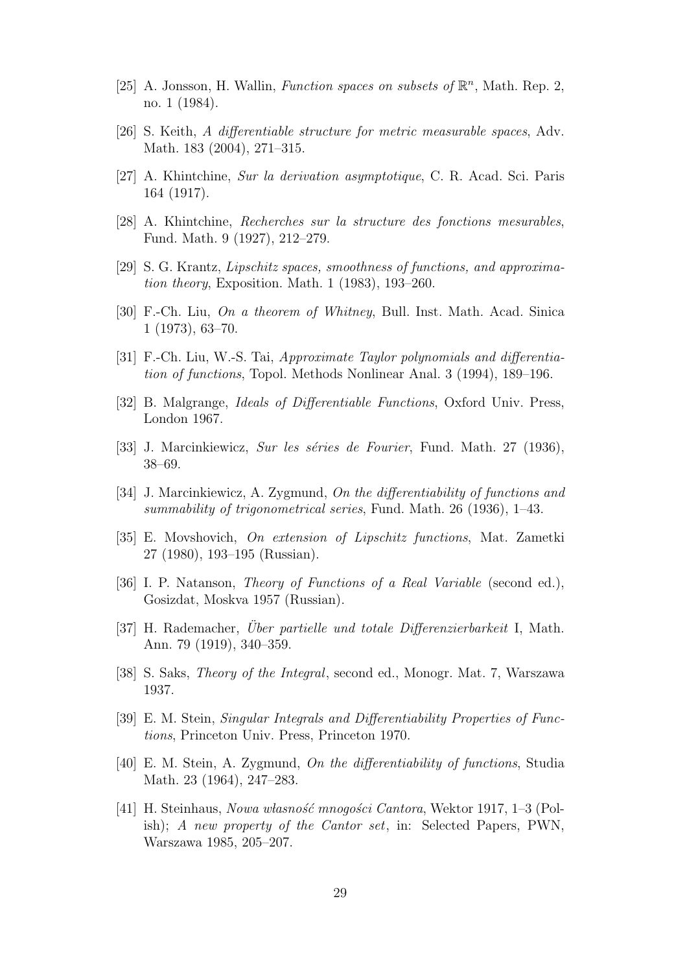- [25] A. Jonsson, H. Wallin, Function spaces on subsets of  $\mathbb{R}^n$ , Math. Rep. 2, no. 1 (1984).
- [26] S. Keith, A differentiable structure for metric measurable spaces, Adv. Math. 183 (2004), 271–315.
- [27] A. Khintchine, Sur la derivation asymptotique, C. R. Acad. Sci. Paris 164 (1917).
- [28] A. Khintchine, Recherches sur la structure des fonctions mesurables, Fund. Math. 9 (1927), 212–279.
- [29] S. G. Krantz, Lipschitz spaces, smoothness of functions, and approximation theory, Exposition. Math. 1 (1983), 193–260.
- [30] F.-Ch. Liu, On a theorem of Whitney, Bull. Inst. Math. Acad. Sinica 1 (1973), 63–70.
- [31] F.-Ch. Liu, W.-S. Tai, Approximate Taylor polynomials and differentiation of functions, Topol. Methods Nonlinear Anal. 3 (1994), 189–196.
- [32] B. Malgrange, Ideals of Differentiable Functions, Oxford Univ. Press, London 1967.
- [33] J. Marcinkiewicz, Sur les séries de Fourier, Fund. Math. 27 (1936), 38–69.
- [34] J. Marcinkiewicz, A. Zygmund, On the differentiability of functions and summability of trigonometrical series, Fund. Math. 26 (1936), 1–43.
- [35] E. Movshovich, On extension of Lipschitz functions, Mat. Zametki 27 (1980), 193–195 (Russian).
- [36] I. P. Natanson, Theory of Functions of a Real Variable (second ed.), Gosizdat, Moskva 1957 (Russian).
- [37] H. Rademacher, *Über partielle und totale Differenzierbarkeit* I, Math. Ann. 79 (1919), 340–359.
- [38] S. Saks, Theory of the Integral, second ed., Monogr. Mat. 7, Warszawa 1937.
- [39] E. M. Stein, Singular Integrals and Differentiability Properties of Functions, Princeton Univ. Press, Princeton 1970.
- [40] E. M. Stein, A. Zygmund, On the differentiability of functions, Studia Math. 23 (1964), 247–283.
- [41] H. Steinhaus, Nowa wasność mnogości Cantora, Wektor 1917, 1–3 (Polish); A new property of the Cantor set, in: Selected Papers, PWN, Warszawa 1985, 205–207.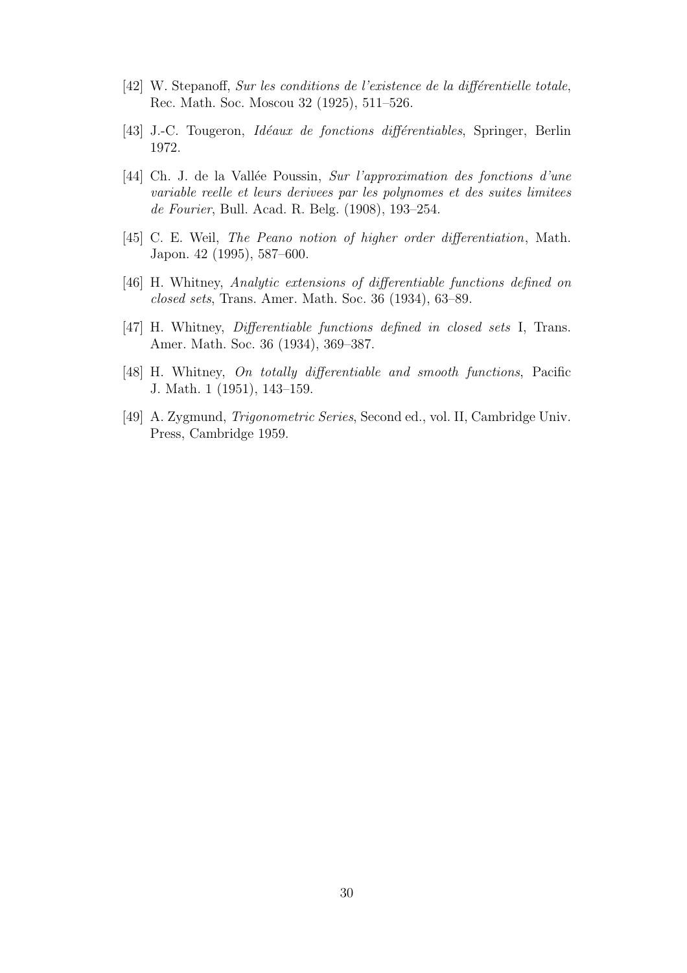- [42] W. Stepanoff, Sur les conditions de l'existence de la différentielle totale, Rec. Math. Soc. Moscou 32 (1925), 511–526.
- [43] J.-C. Tougeron, *Idéaux de fonctions différentiables*, Springer, Berlin 1972.
- [44] Ch. J. de la Vallée Poussin, Sur l'approximation des fonctions d'une variable reelle et leurs derivees par les polynomes et des suites limitees de Fourier, Bull. Acad. R. Belg. (1908), 193–254.
- [45] C. E. Weil, The Peano notion of higher order differentiation, Math. Japon. 42 (1995), 587–600.
- [46] H. Whitney, Analytic extensions of differentiable functions defined on closed sets, Trans. Amer. Math. Soc. 36 (1934), 63–89.
- [47] H. Whitney, Differentiable functions defined in closed sets I, Trans. Amer. Math. Soc. 36 (1934), 369–387.
- [48] H. Whitney, On totally differentiable and smooth functions, Pacific J. Math. 1 (1951), 143–159.
- [49] A. Zygmund, Trigonometric Series, Second ed., vol. II, Cambridge Univ. Press, Cambridge 1959.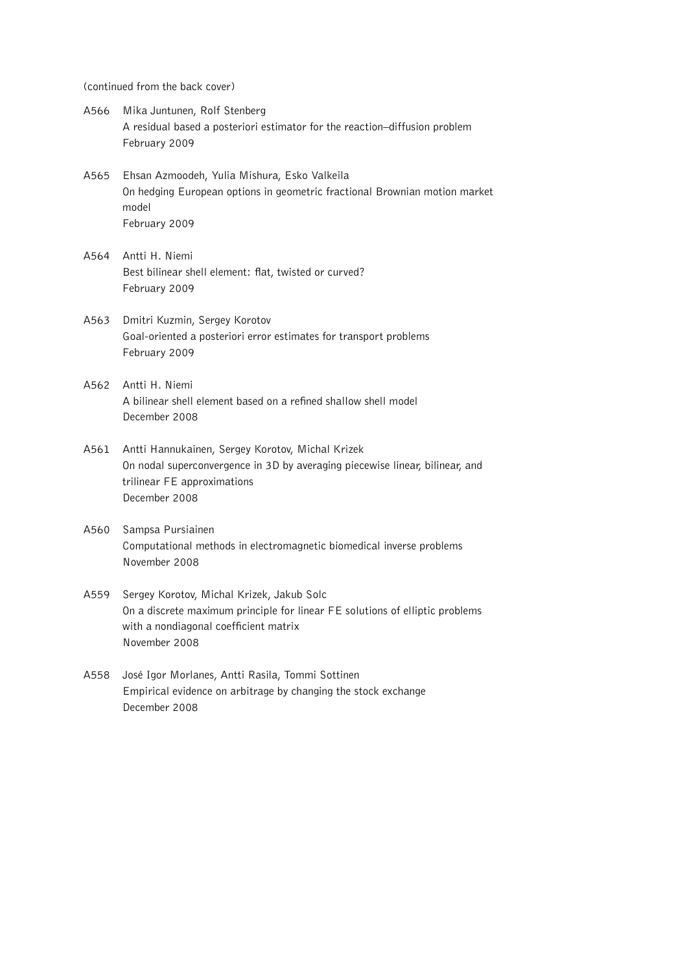(continued from the back cover)

- A566 Mika Juntunen, Rolf Stenberg A residual based a posteriori estimator for the reaction–diffusion problem February 2009
- A565 Ehsan Azmoodeh, Yulia Mishura, Esko Valkeila On hedging European options in geometric fractional Brownian motion market model February 2009
- A564 Antti H. Niemi Best bilinear shell element: flat, twisted or curved? February 2009
- A563 Dmitri Kuzmin, Sergey Korotov Goal-oriented a posteriori error estimates for transport problems February 2009
- A562 Antti H. Niemi A bilinear shell element based on a refined shallow shell model December 2008
- A561 Antti Hannukainen, Sergey Korotov, Michal Krizek On nodal superconvergence in 3D by averaging piecewise linear, bilinear, and trilinear FE approximations December 2008
- A560 Sampsa Pursiainen Computational methods in electromagnetic biomedical inverse problems November 2008
- A559 Sergey Korotov, Michal Krizek, Jakub Solc On a discrete maximum principle for linear FE solutions of elliptic problems with a nondiagonal coefficient matrix November 2008
- A558 Jose Igor Morlanes, Antti Rasila, Tommi Sottinen ´ Empirical evidence on arbitrage by changing the stock exchange December 2008